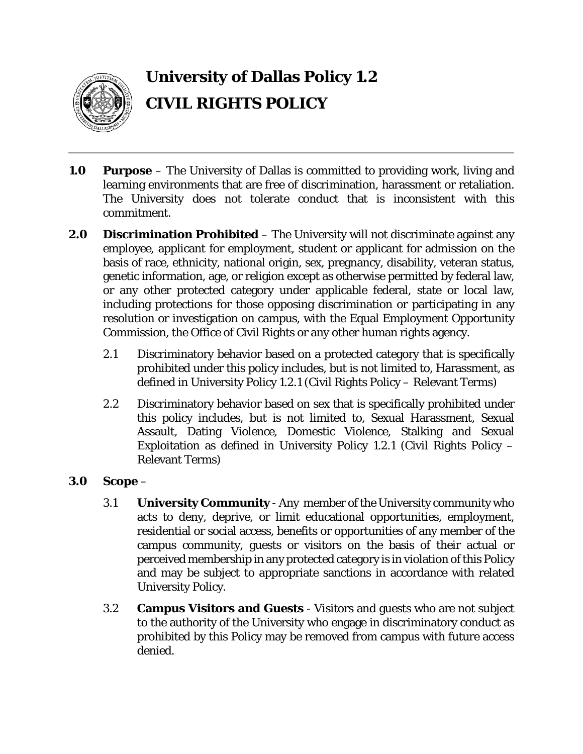

# **University of Dallas Policy 1.2 CIVIL RIGHTS POLICY**

- **1.0 Purpose** The University of Dallas is committed to providing work, living and learning environments that are free of discrimination, harassment or retaliation. The University does not tolerate conduct that is inconsistent with this commitment.
- **2.0 Discrimination Prohibited** The University will not discriminate against any employee, applicant for employment, student or applicant for admission on the basis of race, ethnicity, national origin, sex, pregnancy, disability, veteran status, genetic information, age, or religion except as otherwise permitted by federal law, or any other protected category under applicable federal, state or local law, including protections for those opposing discrimination or participating in any resolution or investigation on campus, with the Equal Employment Opportunity Commission, the Office of Civil Rights or any other human rights agency.
	- 2.1 Discriminatory behavior based on a protected category that is specifically prohibited under this policy includes, but is not limited to, Harassment, as defined in University Policy 1.2.1 (Civil Rights Policy – Relevant Terms)
	- 2.2 Discriminatory behavior based on sex that is specifically prohibited under this policy includes, but is not limited to, Sexual Harassment, Sexual Assault, Dating Violence, Domestic Violence, Stalking and Sexual Exploitation as defined in University Policy 1.2.1 (Civil Rights Policy – Relevant Terms)

#### **3.0 Scope** –

- 3.1 **University Community** Any member of the University community who acts to deny, deprive, or limit educational opportunities, employment, residential or social access, benefits or opportunities of any member of the campus community, guests or visitors on the basis of their actual or perceived membership in any protected category is in violation of this Policy and may be subject to appropriate sanctions in accordance with related University Policy.
- 3.2 **Campus Visitors and Guests** Visitors and guests who are not subject to the authority of the University who engage in discriminatory conduct as prohibited by this Policy may be removed from campus with future access denied.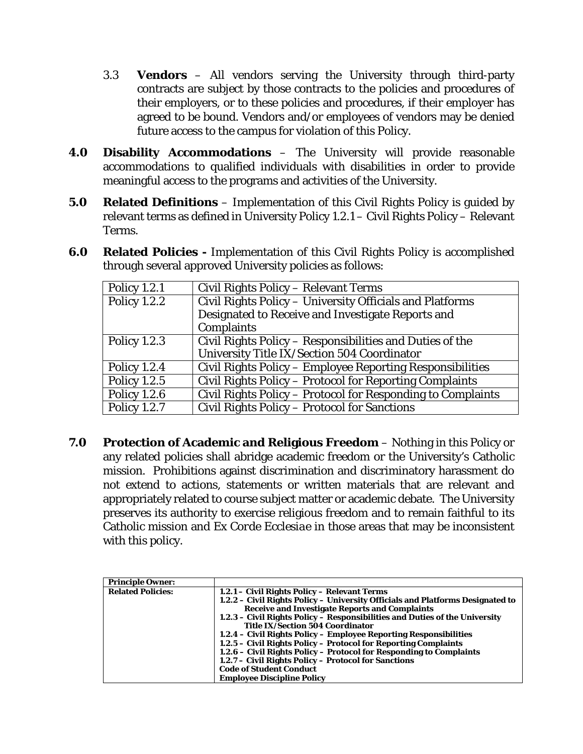- 3.3 **Vendors** All vendors serving the University through third-party contracts are subject by those contracts to the policies and procedures of their employers, or to these policies and procedures, if their employer has agreed to be bound. Vendors and/or employees of vendors may be denied future access to the campus for violation of this Policy.
- **4.0 Disability Accommodations** The University will provide reasonable accommodations to qualified individuals with disabilities in order to provide meaningful access to the programs and activities of the University.
- **5.0 Related Definitions** Implementation of this Civil Rights Policy is guided by relevant terms as defined in University Policy 1.2.1 – Civil Rights Policy – Relevant Terms.
- **6.0 Related Policies -** Implementation of this Civil Rights Policy is accomplished through several approved University policies as follows:

| <b>Policy 1.2.1</b> | Civil Rights Policy – Relevant Terms                        |
|---------------------|-------------------------------------------------------------|
| <b>Policy 1.2.2</b> | Civil Rights Policy - University Officials and Platforms    |
|                     | Designated to Receive and Investigate Reports and           |
|                     | Complaints                                                  |
| <b>Policy 1.2.3</b> | Civil Rights Policy – Responsibilities and Duties of the    |
|                     | University Title IX/Section 504 Coordinator                 |
| <b>Policy 1.2.4</b> | Civil Rights Policy – Employee Reporting Responsibilities   |
| <b>Policy 1.2.5</b> | Civil Rights Policy – Protocol for Reporting Complaints     |
| <b>Policy 1.2.6</b> | Civil Rights Policy – Protocol for Responding to Complaints |
| <b>Policy 1.2.7</b> | Civil Rights Policy – Protocol for Sanctions                |

**7.0 Protection of Academic and Religious Freedom** – Nothing in this Policy or any related policies shall abridge academic freedom or the University's Catholic mission. Prohibitions against discrimination and discriminatory harassment do not extend to actions, statements or written materials that are relevant and appropriately related to course subject matter or academic debate. The University preserves its authority to exercise religious freedom and to remain faithful to its Catholic mission and *Ex Corde Ecclesiae* in those areas that may be inconsistent with this policy.

| <b>Principle Owner:</b>  |                                                                                |
|--------------------------|--------------------------------------------------------------------------------|
| <b>Related Policies:</b> | 1.2.1 - Civil Rights Policy - Relevant Terms                                   |
|                          | 1.2.2 - Civil Rights Policy - University Officials and Platforms Designated to |
|                          | <b>Receive and Investigate Reports and Complaints</b>                          |
|                          | 1.2.3 – Civil Rights Policy – Responsibilities and Duties of the University    |
|                          | <b>Title IX/Section 504 Coordinator</b>                                        |
|                          | 1.2.4 – Civil Rights Policy – Employee Reporting Responsibilities              |
|                          | 1.2.5 – Civil Rights Policy – Protocol for Reporting Complaints                |
|                          | 1.2.6 – Civil Rights Policy – Protocol for Responding to Complaints            |
|                          | 1.2.7 – Civil Rights Policy – Protocol for Sanctions                           |
|                          | <b>Code of Student Conduct</b>                                                 |
|                          | <b>Employee Discipline Policy</b>                                              |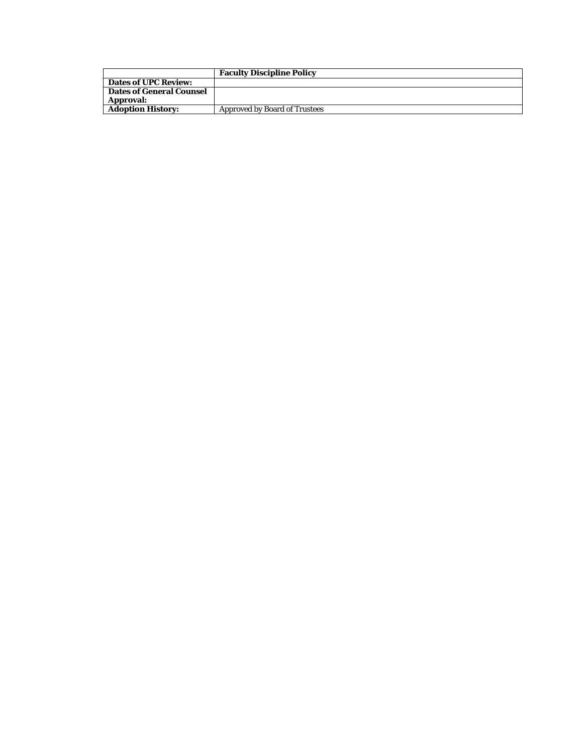|                                 | <b>Faculty Discipline Policy</b>     |
|---------------------------------|--------------------------------------|
| <b>Dates of UPC Review:</b>     |                                      |
| <b>Dates of General Counsel</b> |                                      |
| <b>Approval:</b>                |                                      |
| <b>Adoption History:</b>        | <b>Approved by Board of Trustees</b> |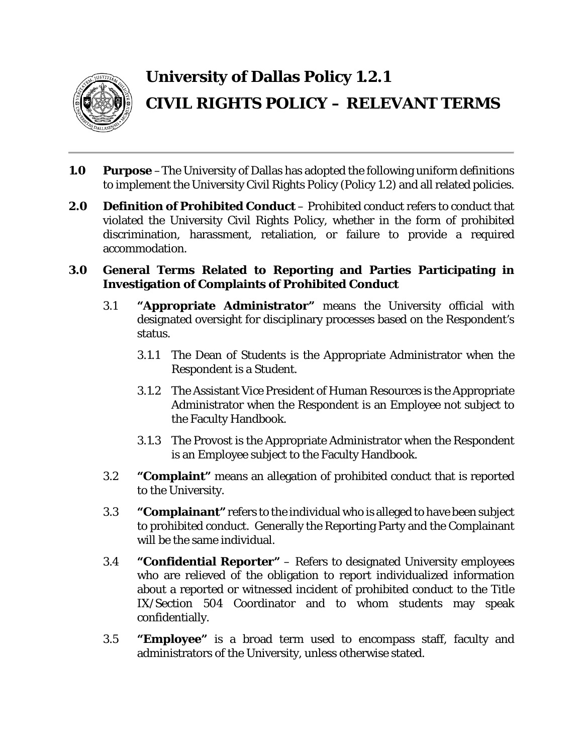

# **University of Dallas Policy 1.2.1 CIVIL RIGHTS POLICY – RELEVANT TERMS**

- **1.0 Purpose** –The University of Dallas has adopted the following uniform definitions to implement the University Civil Rights Policy (Policy 1.2) and all related policies.
- **2.0 Definition of Prohibited Conduct** Prohibited conduct refers to conduct that violated the University Civil Rights Policy, whether in the form of prohibited discrimination, harassment, retaliation, or failure to provide a required accommodation.

#### **3.0 General Terms Related to Reporting and Parties Participating in Investigation of Complaints of Prohibited Conduct**

- 3.1 **"Appropriate Administrator"** means the University official with designated oversight for disciplinary processes based on the Respondent's status.
	- 3.1.1 The Dean of Students is the Appropriate Administrator when the Respondent is a Student.
	- 3.1.2 The Assistant Vice President of Human Resources is the Appropriate Administrator when the Respondent is an Employee not subject to the Faculty Handbook.
	- 3.1.3 The Provost is the Appropriate Administrator when the Respondent is an Employee subject to the Faculty Handbook.
- 3.2 **"Complaint"** means an allegation of prohibited conduct that is reported to the University.
- 3.3 **"Complainant"** refers to the individual who is alleged to have been subject to prohibited conduct. Generally the Reporting Party and the Complainant will be the same individual.
- 3.4 **"Confidential Reporter"** Refers to designated University employees who are relieved of the obligation to report individualized information about a reported or witnessed incident of prohibited conduct to the Title IX/Section 504 Coordinator and to whom students may speak confidentially.
- 3.5 **"Employee"** is a broad term used to encompass staff, faculty and administrators of the University, unless otherwise stated.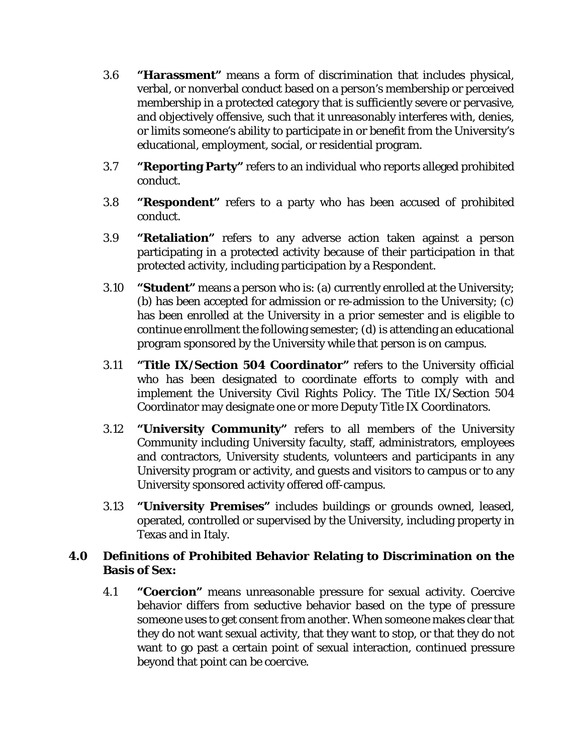- 3.6 **"Harassment"** means a form of discrimination that includes physical, verbal, or nonverbal conduct based on a person's membership or perceived membership in a protected category that is sufficiently severe or pervasive, and objectively offensive, such that it unreasonably interferes with, denies, or limits someone's ability to participate in or benefit from the University's educational, employment, social, or residential program.
- 3.7 **"Reporting Party"** refers to an individual who reports alleged prohibited conduct.
- 3.8 **"Respondent"** refers to a party who has been accused of prohibited conduct.
- 3.9 **"Retaliation"** refers to any adverse action taken against a person participating in a protected activity because of their participation in that protected activity, including participation by a Respondent.
- 3.10 **"Student"** means a person who is: (a) currently enrolled at the University; (b) has been accepted for admission or re-admission to the University; (c) has been enrolled at the University in a prior semester and is eligible to continue enrollment the following semester; (d) is attending an educational program sponsored by the University while that person is on campus.
- 3.11 **"Title IX/Section 504 Coordinator"** refers to the University official who has been designated to coordinate efforts to comply with and implement the University Civil Rights Policy. The Title IX/Section 504 Coordinator may designate one or more Deputy Title IX Coordinators.
- 3.12 **"University Community"** refers to all members of the University Community including University faculty, staff, administrators, employees and contractors, University students, volunteers and participants in any University program or activity, and guests and visitors to campus or to any University sponsored activity offered off-campus.
- 3.13 **"University Premises"** includes buildings or grounds owned, leased, operated, controlled or supervised by the University, including property in Texas and in Italy.

#### **4.0 Definitions of Prohibited Behavior Relating to Discrimination on the Basis of Sex:**

4.1 **"Coercion"** means unreasonable pressure for sexual activity. Coercive behavior differs from seductive behavior based on the type of pressure someone uses to get consent from another. When someone makes clear that they do not want sexual activity, that they want to stop, or that they do not want to go past a certain point of sexual interaction, continued pressure beyond that point can be coercive.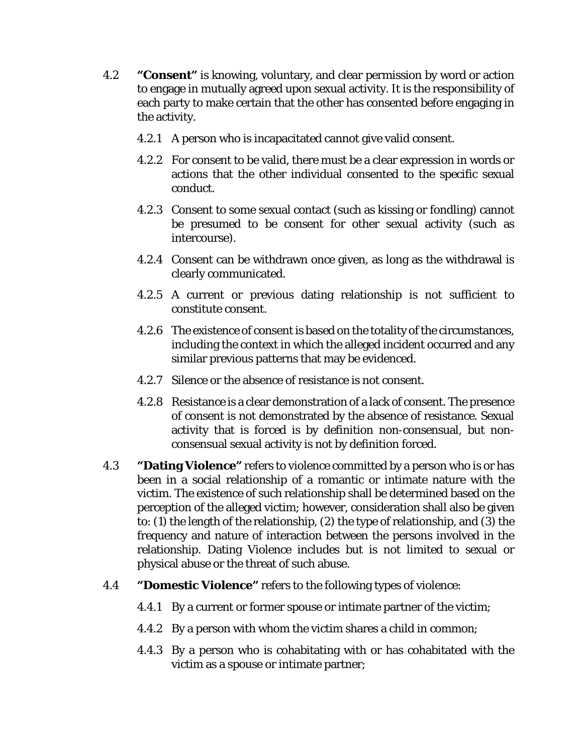- 4.2 **"Consent"** is knowing, voluntary, and clear permission by word or action to engage in mutually agreed upon sexual activity. It is the responsibility of each party to make certain that the other has consented before engaging in the activity.
	- 4.2.1 A person who is incapacitated cannot give valid consent.
	- 4.2.2 For consent to be valid, there must be a clear expression in words or actions that the other individual consented to the specific sexual conduct.
	- 4.2.3 Consent to some sexual contact (such as kissing or fondling) cannot be presumed to be consent for other sexual activity (such as intercourse).
	- 4.2.4 Consent can be withdrawn once given, as long as the withdrawal is clearly communicated.
	- 4.2.5 A current or previous dating relationship is not sufficient to constitute consent.
	- 4.2.6 The existence of consent is based on the totality of the circumstances, including the context in which the alleged incident occurred and any similar previous patterns that may be evidenced.
	- 4.2.7 Silence or the absence of resistance is not consent.
	- 4.2.8 Resistance is a clear demonstration of a lack of consent. The presence of consent is not demonstrated by the absence of resistance. Sexual activity that is forced is by definition non-consensual, but nonconsensual sexual activity is not by definition forced.
- 4.3 **"Dating Violence"** refers to violence committed by a person who is or has been in a social relationship of a romantic or intimate nature with the victim. The existence of such relationship shall be determined based on the perception of the alleged victim; however, consideration shall also be given to: (1) the length of the relationship, (2) the type of relationship, and (3) the frequency and nature of interaction between the persons involved in the relationship. Dating Violence includes but is not limited to sexual or physical abuse or the threat of such abuse.
- 4.4 **"Domestic Violence"** refers to the following types of violence:
	- 4.4.1 By a current or former spouse or intimate partner of the victim;
	- 4.4.2 By a person with whom the victim shares a child in common;
	- 4.4.3 By a person who is cohabitating with or has cohabitated with the victim as a spouse or intimate partner;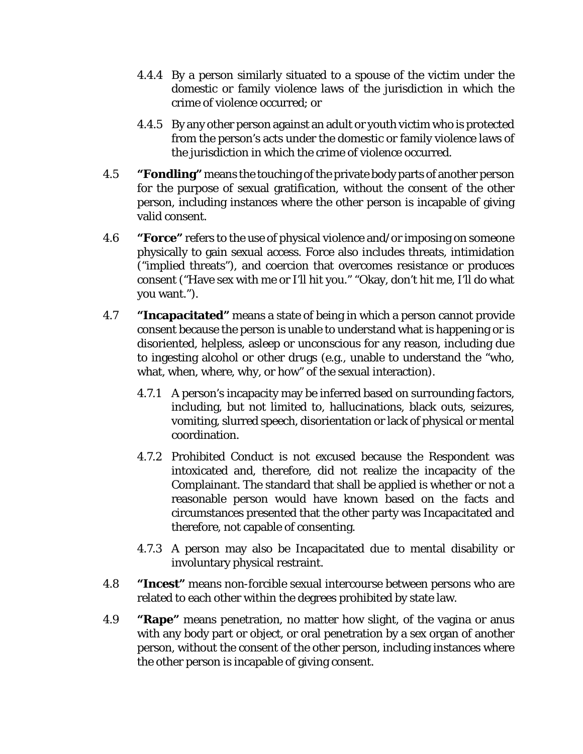- 4.4.4 By a person similarly situated to a spouse of the victim under the domestic or family violence laws of the jurisdiction in which the crime of violence occurred; or
- 4.4.5 By any other person against an adult or youth victim who is protected from the person's acts under the domestic or family violence laws of the jurisdiction in which the crime of violence occurred.
- 4.5 **"Fondling"** means the touching of the private body parts of another person for the purpose of sexual gratification, without the consent of the other person, including instances where the other person is incapable of giving valid consent.
- 4.6 **"Force"** refers to the use of physical violence and/or imposing on someone physically to gain sexual access. Force also includes threats, intimidation ("implied threats"), and coercion that overcomes resistance or produces consent ("Have sex with me or I'll hit you." "Okay, don't hit me, I'll do what you want.").
- 4.7 **"Incapacitated"** means a state of being in which a person cannot provide consent because the person is unable to understand what is happening or is disoriented, helpless, asleep or unconscious for any reason, including due to ingesting alcohol or other drugs (e.g., unable to understand the "who, what, when, where, why, or how" of the sexual interaction).
	- 4.7.1 A person's incapacity may be inferred based on surrounding factors, including, but not limited to, hallucinations, black outs, seizures, vomiting, slurred speech, disorientation or lack of physical or mental coordination.
	- 4.7.2 Prohibited Conduct is not excused because the Respondent was intoxicated and, therefore, did not realize the incapacity of the Complainant. The standard that shall be applied is whether or not a reasonable person would have known based on the facts and circumstances presented that the other party was Incapacitated and therefore, not capable of consenting.
	- 4.7.3 A person may also be Incapacitated due to mental disability or involuntary physical restraint.
- 4.8 **"Incest"** means non-forcible sexual intercourse between persons who are related to each other within the degrees prohibited by state law.
- 4.9 **"Rape"** means penetration, no matter how slight, of the vagina or anus with any body part or object, or oral penetration by a sex organ of another person, without the consent of the other person, including instances where the other person is incapable of giving consent.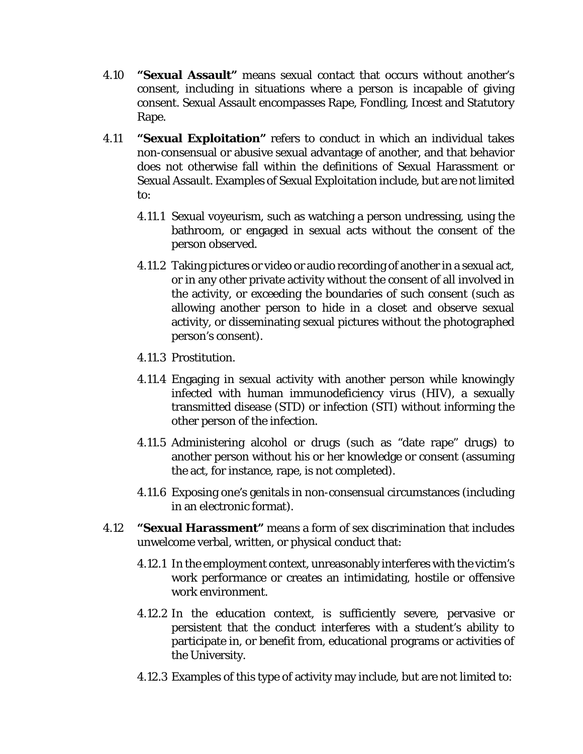- 4.10 **"Sexual Assault"** means sexual contact that occurs without another's consent, including in situations where a person is incapable of giving consent. Sexual Assault encompasses Rape, Fondling, Incest and Statutory Rape.
- 4.11 **"Sexual Exploitation"** refers to conduct in which an individual takes non-consensual or abusive sexual advantage of another, and that behavior does not otherwise fall within the definitions of Sexual Harassment or Sexual Assault. Examples of Sexual Exploitation include, but are not limited to:
	- 4.11.1 Sexual voyeurism, such as watching a person undressing, using the bathroom, or engaged in sexual acts without the consent of the person observed.
	- 4.11.2 Taking pictures or video or audio recording of another in a sexual act, or in any other private activity without the consent of all involved in the activity, or exceeding the boundaries of such consent (such as allowing another person to hide in a closet and observe sexual activity, or disseminating sexual pictures without the photographed person's consent).
	- 4.11.3 Prostitution.
	- 4.11.4 Engaging in sexual activity with another person while knowingly infected with human immunodeficiency virus (HIV), a sexually transmitted disease (STD) or infection (STI) without informing the other person of the infection.
	- 4.11.5 Administering alcohol or drugs (such as "date rape" drugs) to another person without his or her knowledge or consent (assuming the act, for instance, rape, is not completed).
	- 4.11.6 Exposing one's genitals in non-consensual circumstances (including in an electronic format).
- 4.12 **"Sexual Harassment"** means a form of sex discrimination that includes unwelcome verbal, written, or physical conduct that:
	- 4.12.1 In the employment context, unreasonably interferes with the victim's work performance or creates an intimidating, hostile or offensive work environment.
	- 4.12.2 In the education context, is sufficiently severe, pervasive or persistent that the conduct interferes with a student's ability to participate in, or benefit from, educational programs or activities of the University.
	- 4.12.3 Examples of this type of activity may include, but are not limited to: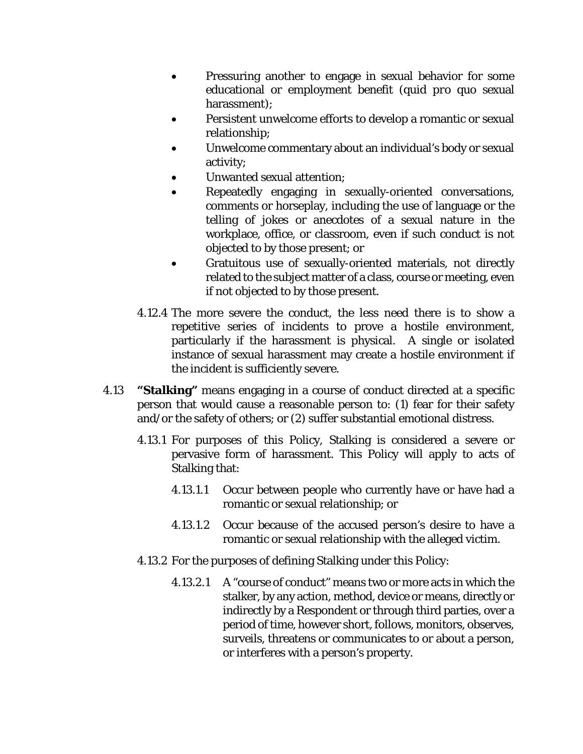- Pressuring another to engage in sexual behavior for some educational or employment benefit (*quid pro quo* sexual harassment);
- Persistent unwelcome efforts to develop a romantic or sexual relationship;
- Unwelcome commentary about an individual's body or sexual activity;
- Unwanted sexual attention;
- Repeatedly engaging in sexually-oriented conversations, comments or horseplay, including the use of language or the telling of jokes or anecdotes of a sexual nature in the workplace, office, or classroom, even if such conduct is not objected to by those present; or
- Gratuitous use of sexually-oriented materials, not directly related to the subject matter of a class, course or meeting, even if not objected to by those present.
- 4.12.4 The more severe the conduct, the less need there is to show a repetitive series of incidents to prove a hostile environment, particularly if the harassment is physical. A single or isolated instance of sexual harassment may create a hostile environment if the incident is sufficiently severe.
- 4.13 **"Stalking"** means engaging in a course of conduct directed at a specific person that would cause a reasonable person to: (1) fear for their safety and/or the safety of others; or (2) suffer substantial emotional distress.
	- 4.13.1 For purposes of this Policy, Stalking is considered a severe or pervasive form of harassment. This Policy will apply to acts of Stalking that:
		- 4.13.1.1 Occur between people who currently have or have had a romantic or sexual relationship; or
		- 4.13.1.2 Occur because of the accused person's desire to have a romantic or sexual relationship with the alleged victim.
	- 4.13.2 For the purposes of defining Stalking under this Policy:
		- 4.13.2.1 A "course of conduct" means two or more acts in which the stalker, by any action, method, device or means, directly or indirectly by a Respondent or through third parties, over a period of time, however short, follows, monitors, observes, surveils, threatens or communicates to or about a person, or interferes with a person's property.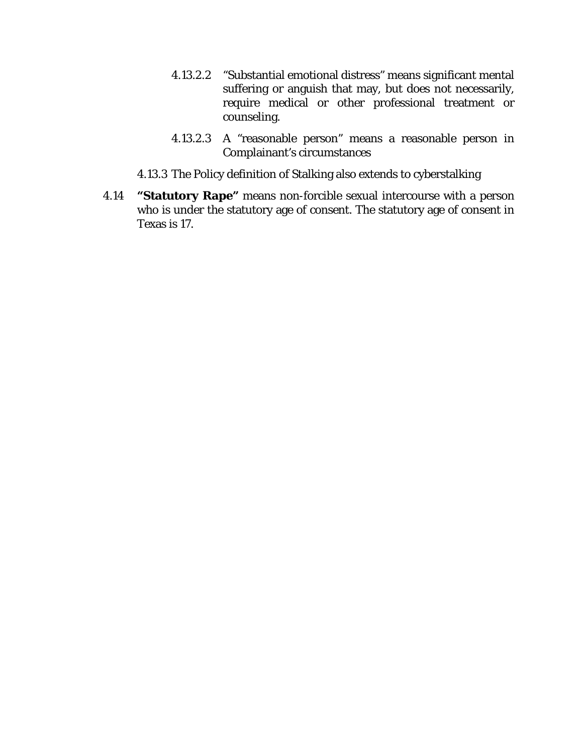- 4.13.2.2 "Substantial emotional distress" means significant mental suffering or anguish that may, but does not necessarily, require medical or other professional treatment or counseling.
- 4.13.2.3 A "reasonable person" means a reasonable person in Complainant's circumstances
- 4.13.3 The Policy definition of Stalking also extends to cyberstalking
- 4.14 **"Statutory Rape"** means non-forcible sexual intercourse with a person who is under the statutory age of consent. The statutory age of consent in Texas is 17.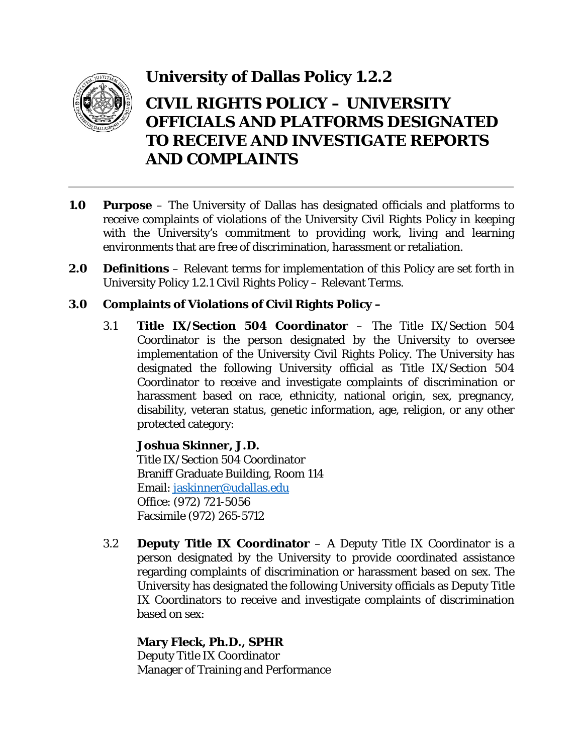

### **University of Dallas Policy 1.2.2**

### **CIVIL RIGHTS POLICY – UNIVERSITY OFFICIALS AND PLATFORMS DESIGNATED TO RECEIVE AND INVESTIGATE REPORTS AND COMPLAINTS**

- **1.0 Purpose** The University of Dallas has designated officials and platforms to receive complaints of violations of the University Civil Rights Policy in keeping with the University's commitment to providing work, living and learning environments that are free of discrimination, harassment or retaliation.
- **2.0 Definitions** Relevant terms for implementation of this Policy are set forth in University Policy 1.2.1 Civil Rights Policy – Relevant Terms.

#### **3.0 Complaints of Violations of Civil Rights Policy –**

3.1 **Title IX/Section 504 Coordinator** – The Title IX/Section 504 Coordinator is the person designated by the University to oversee implementation of the University Civil Rights Policy. The University has designated the following University official as Title IX/Section 504 Coordinator to receive and investigate complaints of discrimination or harassment based on race, ethnicity, national origin, sex, pregnancy, disability, veteran status, genetic information, age, religion, or any other protected category:

#### **Joshua Skinner, J.D.**

Title IX/Section 504 Coordinator Braniff Graduate Building, Room 114 Email: [jaskinner@udallas.edu](mailto:jaskinner@udallas.edu) Office: (972) 721-5056 Facsimile (972) 265-5712

3.2 **Deputy Title IX Coordinator** – A Deputy Title IX Coordinator is a person designated by the University to provide coordinated assistance regarding complaints of discrimination or harassment based on sex. The University has designated the following University officials as Deputy Title IX Coordinators to receive and investigate complaints of discrimination based on sex:

**Mary Fleck, Ph.D., SPHR** Deputy Title IX Coordinator Manager of Training and Performance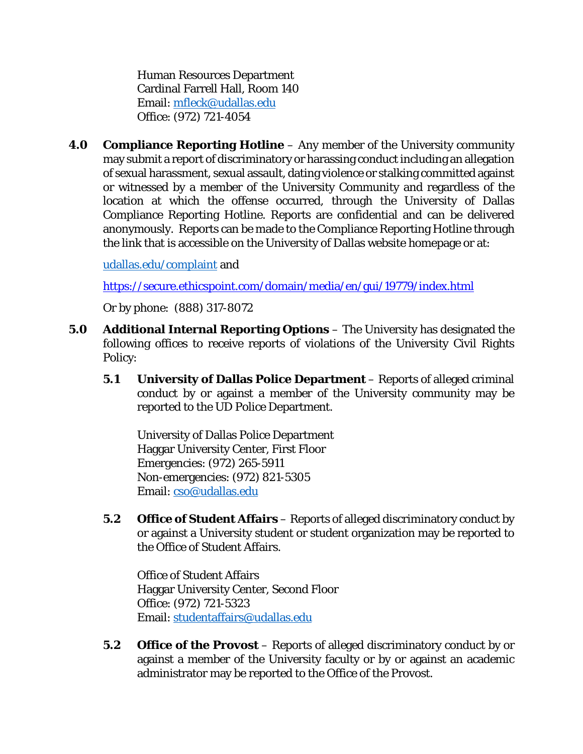Human Resources Department Cardinal Farrell Hall, Room 140 Email: [mfleck@udallas.edu](mailto:mfleck@udallas.edu) Office: (972) 721-4054

**4.0 Compliance Reporting Hotline** – Any member of the University community may submit a report of discriminatory or harassing conduct including an allegation of sexual harassment, sexual assault, dating violence or stalking committed against or witnessed by a member of the University Community and regardless of the location at which the offense occurred, through the University of Dallas Compliance Reporting Hotline. Reports are confidential and can be delivered anonymously. Reports can be made to the Compliance Reporting Hotline through the link that is accessible on the University of Dallas website homepage or at:

[udallas.edu/complaint](http://udallas.edu/complaint) and

<https://secure.ethicspoint.com/domain/media/en/gui/19779/index.html>

Or by phone: (888) 317-8072

- **5.0 Additional Internal Reporting Options** The University has designated the following offices to receive reports of violations of the University Civil Rights Policy:
	- **5.1 University of Dallas Police Department** Reports of alleged criminal conduct by or against a member of the University community may be reported to the UD Police Department.

University of Dallas Police Department Haggar University Center, First Floor Emergencies: (972) 265-5911 Non-emergencies: (972) 821-5305 Email: [cso@udallas.edu](mailto:cso@udallas.edu)

**5.2 Office of Student Affairs** – Reports of alleged discriminatory conduct by or against a University student or student organization may be reported to the Office of Student Affairs.

Office of Student Affairs Haggar University Center, Second Floor Office: (972) 721-5323 Email: [studentaffairs@udallas.edu](mailto:studentaffairs@udallas.edu)

**5.2 Office of the Provost** – Reports of alleged discriminatory conduct by or against a member of the University faculty or by or against an academic administrator may be reported to the Office of the Provost.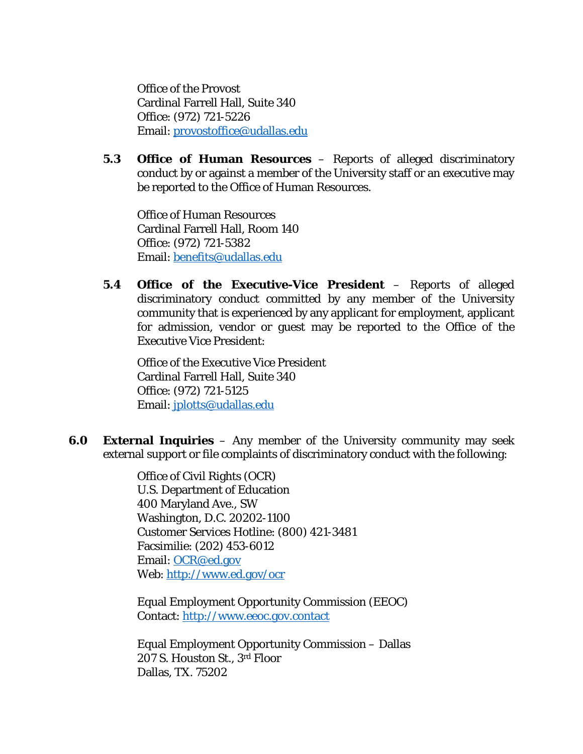Office of the Provost Cardinal Farrell Hall, Suite 340 Office: (972) 721-5226 Email: [provostoffice@udallas.edu](mailto:provostoffice@udallas.edu)

**5.3 Office of Human Resources** – Reports of alleged discriminatory conduct by or against a member of the University staff or an executive may be reported to the Office of Human Resources.

Office of Human Resources Cardinal Farrell Hall, Room 140 Office: (972) 721-5382 Email: [benefits@udallas.edu](mailto:benefits@udallas.edu)

**5.4 Office of the Executive-Vice President** – Reports of alleged discriminatory conduct committed by any member of the University community that is experienced by any applicant for employment, applicant for admission, vendor or guest may be reported to the Office of the Executive Vice President:

Office of the Executive Vice President Cardinal Farrell Hall, Suite 340 Office: (972) 721-5125 Email: [jplotts@udallas.edu](mailto:jplotts@udallas.edu)

**6.0 External Inquiries** – Any member of the University community may seek external support or file complaints of discriminatory conduct with the following:

> Office of Civil Rights (OCR) U.S. Department of Education 400 Maryland Ave., SW Washington, D.C. 20202-1100 Customer Services Hotline: (800) 421-3481 Facsimilie: (202) 453-6012 Email: [OCR@ed.gov](mailto:OCR@ed.gov) Web:<http://www.ed.gov/ocr>

Equal Employment Opportunity Commission (EEOC) Contact: [http://www.eeoc.gov.contact](http://www.eeoc.gov.contact/)

Equal Employment Opportunity Commission – Dallas 207 S. Houston St., 3rd Floor Dallas, TX. 75202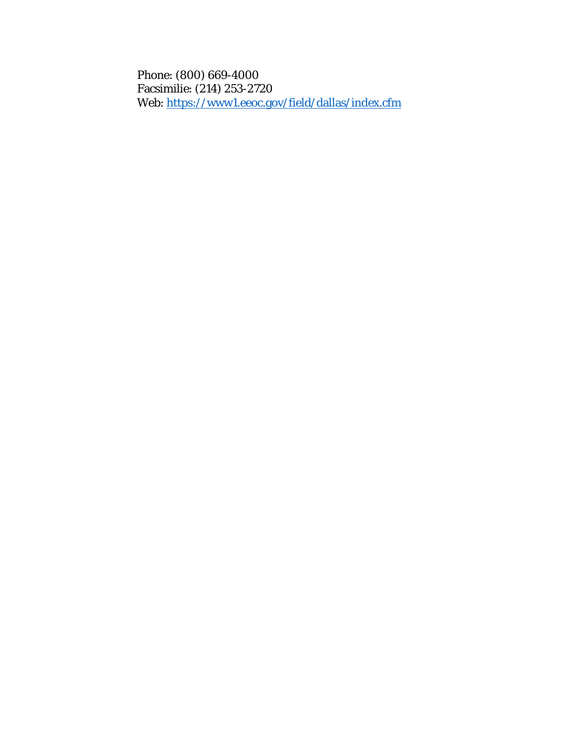Phone: (800) 669-4000 Facsimilie: (214) 253-2720 Web:<https://www1.eeoc.gov/field/dallas/index.cfm>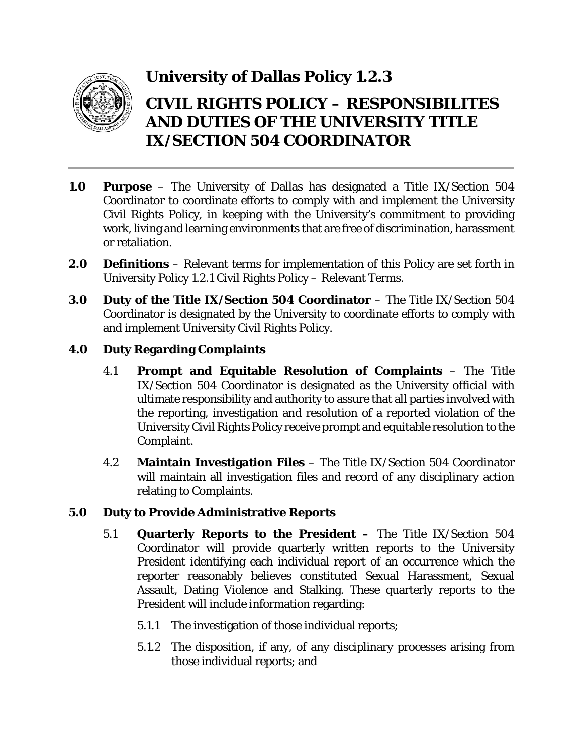

### **University of Dallas Policy 1.2.3**

### **CIVIL RIGHTS POLICY – RESPONSIBILITES AND DUTIES OF THE UNIVERSITY TITLE IX/SECTION 504 COORDINATOR**

- **1.0 Purpose** The University of Dallas has designated a Title IX/Section 504 Coordinator to coordinate efforts to comply with and implement the University Civil Rights Policy, in keeping with the University's commitment to providing work, living and learning environments that are free of discrimination, harassment or retaliation.
- **2.0 Definitions** Relevant terms for implementation of this Policy are set forth in University Policy 1.2.1 Civil Rights Policy – Relevant Terms.
- **3.0 Duty of the Title IX/Section 504 Coordinator** The Title IX/Section 504 Coordinator is designated by the University to coordinate efforts to comply with and implement University Civil Rights Policy.

#### **4.0 Duty Regarding Complaints**

- 4.1 **Prompt and Equitable Resolution of Complaints** The Title IX/Section 504 Coordinator is designated as the University official with ultimate responsibility and authority to assure that all parties involved with the reporting, investigation and resolution of a reported violation of the University Civil Rights Policy receive prompt and equitable resolution to the Complaint.
- 4.2 **Maintain Investigation Files** The Title IX/Section 504 Coordinator will maintain all investigation files and record of any disciplinary action relating to Complaints.

#### **5.0 Duty to Provide Administrative Reports**

- 5.1 **Quarterly Reports to the President –** The Title IX/Section 504 Coordinator will provide quarterly written reports to the University President identifying each individual report of an occurrence which the reporter reasonably believes constituted Sexual Harassment, Sexual Assault, Dating Violence and Stalking. These quarterly reports to the President will include information regarding:
	- 5.1.1 The investigation of those individual reports;
	- 5.1.2 The disposition, if any, of any disciplinary processes arising from those individual reports; and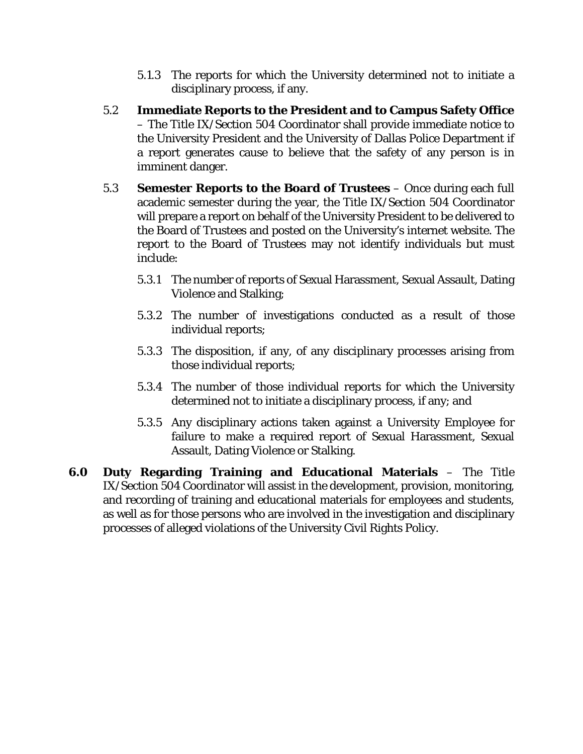- 5.1.3 The reports for which the University determined not to initiate a disciplinary process, if any.
- 5.2 **Immediate Reports to the President and to Campus Safety Office** – The Title IX/Section 504 Coordinator shall provide immediate notice to the University President and the University of Dallas Police Department if a report generates cause to believe that the safety of any person is in imminent danger.
- 5.3 **Semester Reports to the Board of Trustees** Once during each full academic semester during the year, the Title IX/Section 504 Coordinator will prepare a report on behalf of the University President to be delivered to the Board of Trustees and posted on the University's internet website. The report to the Board of Trustees may not identify individuals but must include:
	- 5.3.1 The number of reports of Sexual Harassment, Sexual Assault, Dating Violence and Stalking;
	- 5.3.2 The number of investigations conducted as a result of those individual reports;
	- 5.3.3 The disposition, if any, of any disciplinary processes arising from those individual reports;
	- 5.3.4 The number of those individual reports for which the University determined not to initiate a disciplinary process, if any; and
	- 5.3.5 Any disciplinary actions taken against a University Employee for failure to make a required report of Sexual Harassment, Sexual Assault, Dating Violence or Stalking.
- **6.0 Duty Regarding Training and Educational Materials**  The Title IX/Section 504 Coordinator will assist in the development, provision, monitoring, and recording of training and educational materials for employees and students, as well as for those persons who are involved in the investigation and disciplinary processes of alleged violations of the University Civil Rights Policy.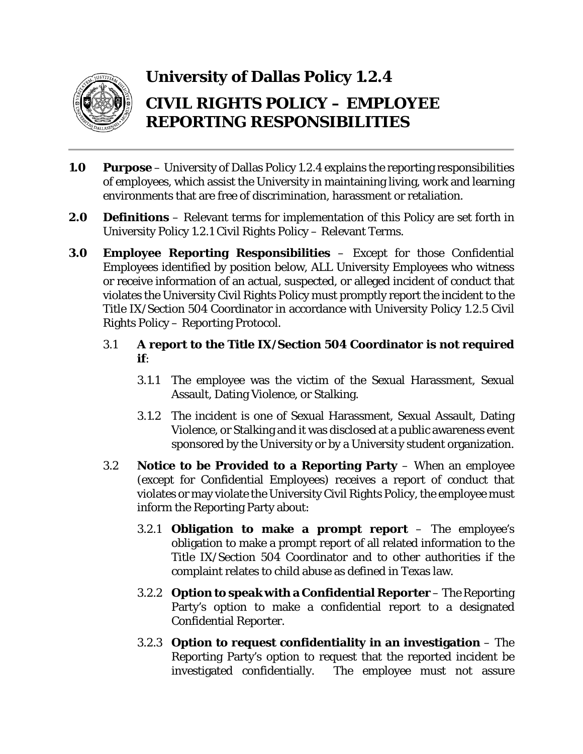

## **University of Dallas Policy 1.2.4 CIVIL RIGHTS POLICY – EMPLOYEE REPORTING RESPONSIBILITIES**

- **1.0 Purpose** University of Dallas Policy 1.2.4 explains the reporting responsibilities of employees, which assist the University in maintaining living, work and learning environments that are free of discrimination, harassment or retaliation.
- **2.0 Definitions** Relevant terms for implementation of this Policy are set forth in University Policy 1.2.1 Civil Rights Policy – Relevant Terms.
- **3.0 Employee Reporting Responsibilities** Except for those Confidential Employees identified by position below, ALL University Employees who witness or receive information of an actual, suspected, or alleged incident of conduct that violates the University Civil Rights Policy must promptly report the incident to the Title IX/Section 504 Coordinator in accordance with University Policy 1.2.5 Civil Rights Policy – Reporting Protocol.
	- 3.1 **A report to the Title IX/Section 504 Coordinator is not required if**:
		- 3.1.1 The employee was the victim of the Sexual Harassment, Sexual Assault, Dating Violence, or Stalking.
		- 3.1.2 The incident is one of Sexual Harassment, Sexual Assault, Dating Violence, or Stalking and it was disclosed at a public awareness event sponsored by the University or by a University student organization.
	- 3.2 **Notice to be Provided to a Reporting Party**  When an employee (except for Confidential Employees) receives a report of conduct that violates or may violate the University Civil Rights Policy, the employee must inform the Reporting Party about:
		- 3.2.1 **Obligation to make a prompt report** The employee's obligation to make a prompt report of all related information to the Title IX/Section 504 Coordinator and to other authorities if the complaint relates to child abuse as defined in Texas law.
		- 3.2.2 **Option to speak with a Confidential Reporter** The Reporting Party's option to make a confidential report to a designated Confidential Reporter.
		- 3.2.3 **Option to request confidentiality in an investigation**  The Reporting Party's option to request that the reported incident be investigated confidentially. The employee must not assure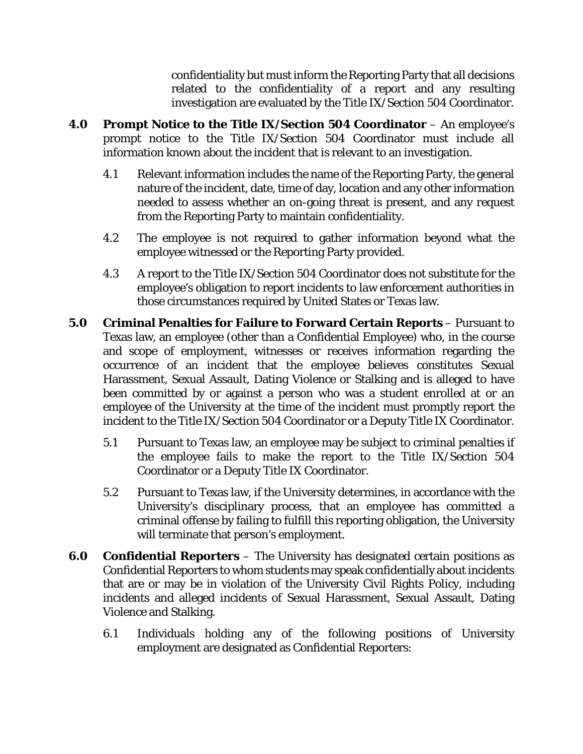confidentiality but must inform the Reporting Party that all decisions related to the confidentiality of a report and any resulting investigation are evaluated by the Title IX/Section 504 Coordinator.

- **4.0 Prompt Notice to the Title IX/Section 504 Coordinator** An employee's prompt notice to the Title IX/Section 504 Coordinator must include all information known about the incident that is relevant to an investigation.
	- 4.1 Relevant information includes the name of the Reporting Party, the general nature of the incident, date, time of day, location and any other information needed to assess whether an on-going threat is present, and any request from the Reporting Party to maintain confidentiality.
	- 4.2 The employee is not required to gather information beyond what the employee witnessed or the Reporting Party provided.
	- 4.3 A report to the Title IX/Section 504 Coordinator does not substitute for the employee's obligation to report incidents to law enforcement authorities in those circumstances required by United States or Texas law.
- **5.0 Criminal Penalties for Failure to Forward Certain Reports** Pursuant to Texas law, an employee (other than a Confidential Employee) who, in the course and scope of employment, witnesses or receives information regarding the occurrence of an incident that the employee believes constitutes Sexual Harassment, Sexual Assault, Dating Violence or Stalking and is alleged to have been committed by or against a person who was a student enrolled at or an employee of the University at the time of the incident must promptly report the incident to the Title IX/Section 504 Coordinator or a Deputy Title IX Coordinator.
	- 5.1 Pursuant to Texas law, an employee may be subject to criminal penalties if the employee fails to make the report to the Title IX/Section 504 Coordinator or a Deputy Title IX Coordinator.
	- 5.2 Pursuant to Texas law, if the University determines, in accordance with the University's disciplinary process, that an employee has committed a criminal offense by failing to fulfill this reporting obligation, the University will terminate that person's employment.
- **6.0 Confidential Reporters** The University has designated certain positions as Confidential Reporters to whom students may speak confidentially about incidents that are or may be in violation of the University Civil Rights Policy, including incidents and alleged incidents of Sexual Harassment, Sexual Assault, Dating Violence and Stalking.
	- 6.1 Individuals holding any of the following positions of University employment are designated as Confidential Reporters: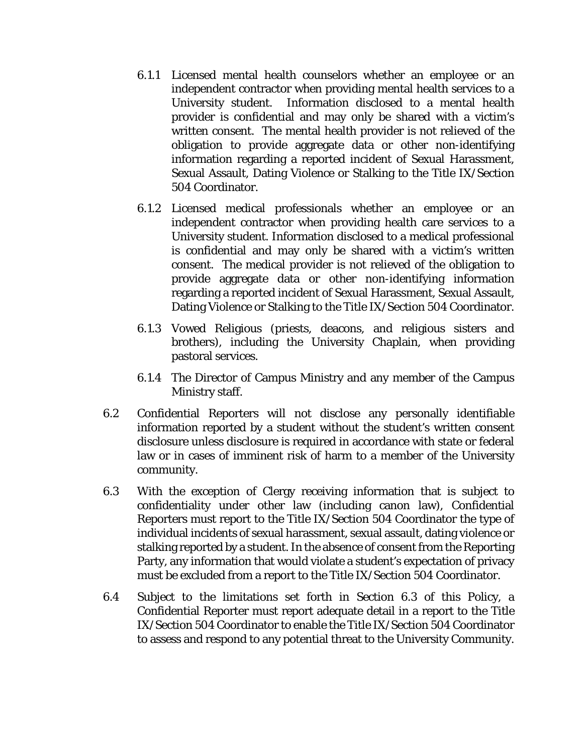- 6.1.1 Licensed mental health counselors whether an employee or an independent contractor when providing mental health services to a University student. Information disclosed to a mental health provider is confidential and may only be shared with a victim's written consent. The mental health provider is not relieved of the obligation to provide aggregate data or other non-identifying information regarding a reported incident of Sexual Harassment, Sexual Assault, Dating Violence or Stalking to the Title IX/Section 504 Coordinator.
- 6.1.2 Licensed medical professionals whether an employee or an independent contractor when providing health care services to a University student. Information disclosed to a medical professional is confidential and may only be shared with a victim's written consent. The medical provider is not relieved of the obligation to provide aggregate data or other non-identifying information regarding a reported incident of Sexual Harassment, Sexual Assault, Dating Violence or Stalking to the Title IX/Section 504 Coordinator.
- 6.1.3 Vowed Religious (priests, deacons, and religious sisters and brothers), including the University Chaplain, when providing pastoral services.
- 6.1.4 The Director of Campus Ministry and any member of the Campus Ministry staff.
- 6.2 Confidential Reporters will not disclose any personally identifiable information reported by a student without the student's written consent disclosure unless disclosure is required in accordance with state or federal law or in cases of imminent risk of harm to a member of the University community.
- 6.3 With the exception of Clergy receiving information that is subject to confidentiality under other law (including canon law), Confidential Reporters must report to the Title IX/Section 504 Coordinator the type of individual incidents of sexual harassment, sexual assault, dating violence or stalking reported by a student. In the absence of consent from the Reporting Party, any information that would violate a student's expectation of privacy must be excluded from a report to the Title IX/Section 504 Coordinator.
- 6.4 Subject to the limitations set forth in Section 6.3 of this Policy, a Confidential Reporter must report adequate detail in a report to the Title IX/Section 504 Coordinator to enable the Title IX/Section 504 Coordinator to assess and respond to any potential threat to the University Community.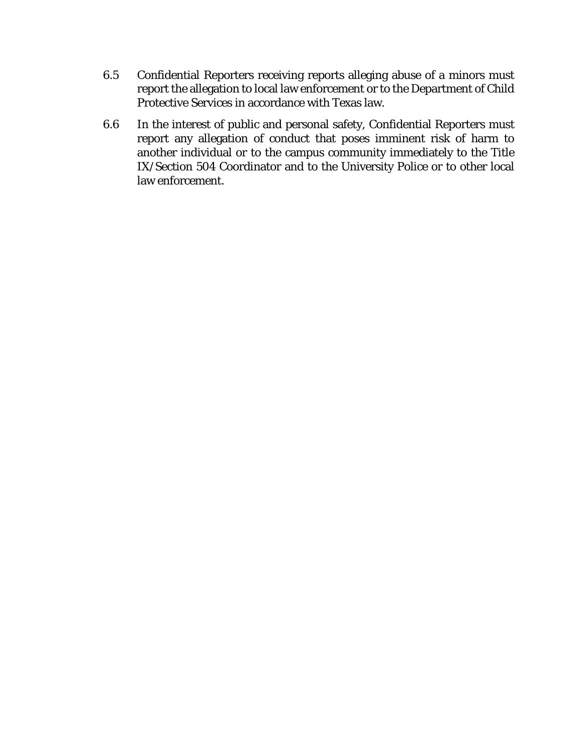- 6.5 Confidential Reporters receiving reports alleging abuse of a minors must report the allegation to local law enforcement or to the Department of Child Protective Services in accordance with Texas law.
- 6.6 In the interest of public and personal safety, Confidential Reporters must report any allegation of conduct that poses imminent risk of harm to another individual or to the campus community immediately to the Title IX/Section 504 Coordinator and to the University Police or to other local law enforcement.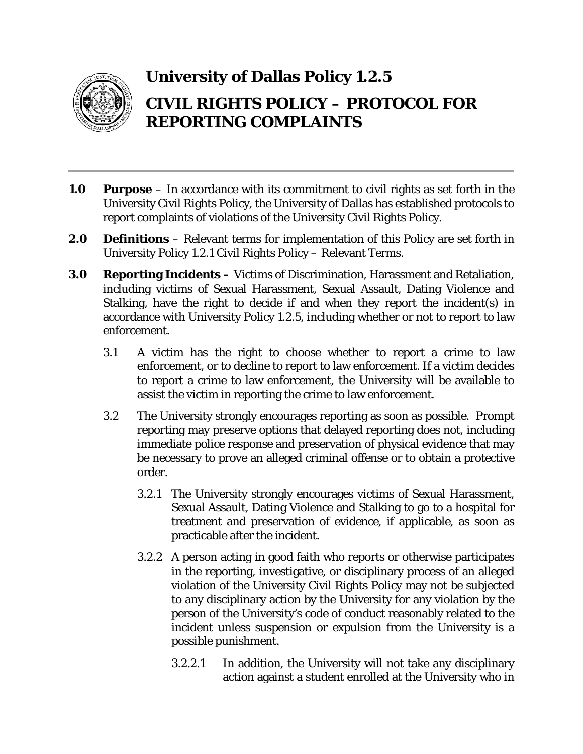

## **University of Dallas Policy 1.2.5 CIVIL RIGHTS POLICY – PROTOCOL FOR REPORTING COMPLAINTS**

- **1.0 Purpose** In accordance with its commitment to civil rights as set forth in the University Civil Rights Policy, the University of Dallas has established protocols to report complaints of violations of the University Civil Rights Policy.
- **2.0 Definitions** Relevant terms for implementation of this Policy are set forth in University Policy 1.2.1 Civil Rights Policy – Relevant Terms.
- **3.0 Reporting Incidents –** Victims of Discrimination, Harassment and Retaliation, including victims of Sexual Harassment, Sexual Assault, Dating Violence and Stalking, have the right to decide if and when they report the incident(s) in accordance with University Policy 1.2.5, including whether or not to report to law enforcement.
	- 3.1 A victim has the right to choose whether to report a crime to law enforcement, or to decline to report to law enforcement. If a victim decides to report a crime to law enforcement, the University will be available to assist the victim in reporting the crime to law enforcement.
	- 3.2 The University strongly encourages reporting as soon as possible. Prompt reporting may preserve options that delayed reporting does not, including immediate police response and preservation of physical evidence that may be necessary to prove an alleged criminal offense or to obtain a protective order.
		- 3.2.1 The University strongly encourages victims of Sexual Harassment, Sexual Assault, Dating Violence and Stalking to go to a hospital for treatment and preservation of evidence, if applicable, as soon as practicable after the incident.
		- 3.2.2 A person acting in good faith who reports or otherwise participates in the reporting, investigative, or disciplinary process of an alleged violation of the University Civil Rights Policy may not be subjected to any disciplinary action by the University for any violation by the person of the University's code of conduct reasonably related to the incident unless suspension or expulsion from the University is a possible punishment.
			- 3.2.2.1 In addition, the University will not take any disciplinary action against a student enrolled at the University who in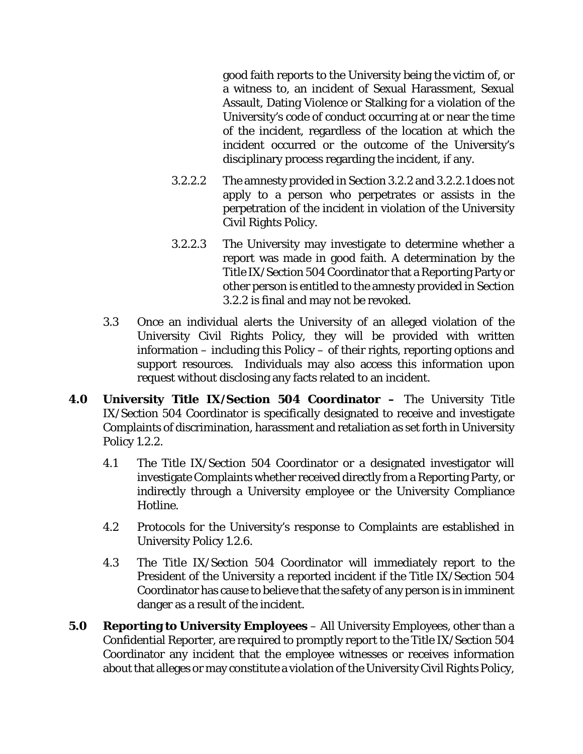good faith reports to the University being the victim of, or a witness to, an incident of Sexual Harassment, Sexual Assault, Dating Violence or Stalking for a violation of the University's code of conduct occurring at or near the time of the incident, regardless of the location at which the incident occurred or the outcome of the University's disciplinary process regarding the incident, if any.

- 3.2.2.2 The amnesty provided in Section 3.2.2 and 3.2.2.1 does not apply to a person who perpetrates or assists in the perpetration of the incident in violation of the University Civil Rights Policy.
- 3.2.2.3 The University may investigate to determine whether a report was made in good faith. A determination by the Title IX/Section 504 Coordinator that a Reporting Party or other person is entitled to the amnesty provided in Section 3.2.2 is final and may not be revoked.
- 3.3 Once an individual alerts the University of an alleged violation of the University Civil Rights Policy, they will be provided with written information – including this Policy – of their rights, reporting options and support resources. Individuals may also access this information upon request without disclosing any facts related to an incident.
- **4.0 University Title IX/Section 504 Coordinator –** The University Title IX/Section 504 Coordinator is specifically designated to receive and investigate Complaints of discrimination, harassment and retaliation as set forth in University Policy 1.2.2.
	- 4.1 The Title IX/Section 504 Coordinator or a designated investigator will investigate Complaints whether received directly from a Reporting Party, or indirectly through a University employee or the University Compliance Hotline.
	- 4.2 Protocols for the University's response to Complaints are established in University Policy 1.2.6.
	- 4.3 The Title IX/Section 504 Coordinator will immediately report to the President of the University a reported incident if the Title IX/Section 504 Coordinator has cause to believe that the safety of any person is in imminent danger as a result of the incident.
- **5.0 Reporting to University Employees** All University Employees, other than a Confidential Reporter, are required to promptly report to the Title IX/Section 504 Coordinator any incident that the employee witnesses or receives information about that alleges or may constitute a violation of the University Civil Rights Policy,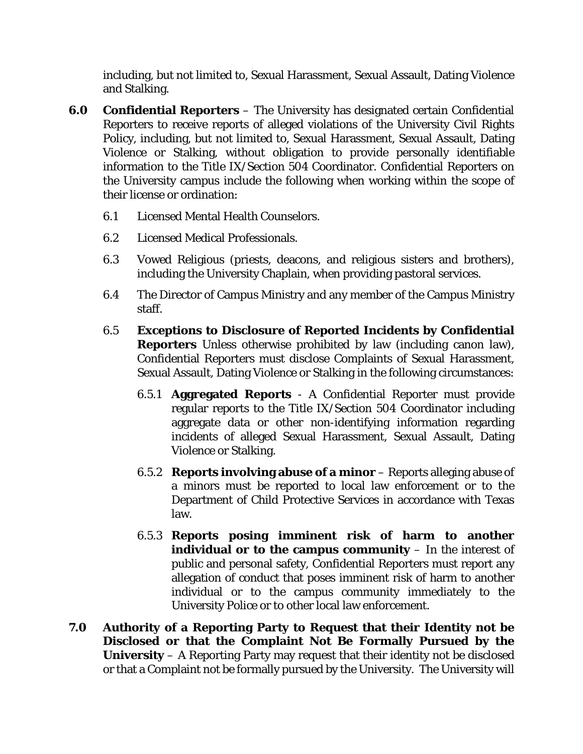including, but not limited to, Sexual Harassment, Sexual Assault, Dating Violence and Stalking.

- **6.0 Confidential Reporters** The University has designated certain Confidential Reporters to receive reports of alleged violations of the University Civil Rights Policy, including, but not limited to, Sexual Harassment, Sexual Assault, Dating Violence or Stalking, without obligation to provide personally identifiable information to the Title IX/Section 504 Coordinator. Confidential Reporters on the University campus include the following when working within the scope of their license or ordination:
	- 6.1 Licensed Mental Health Counselors.
	- 6.2 Licensed Medical Professionals.
	- 6.3 Vowed Religious (priests, deacons, and religious sisters and brothers), including the University Chaplain, when providing pastoral services.
	- 6.4 The Director of Campus Ministry and any member of the Campus Ministry staff.
	- 6.5 **Exceptions to Disclosure of Reported Incidents by Confidential Reporters** Unless otherwise prohibited by law (including canon law), Confidential Reporters must disclose Complaints of Sexual Harassment, Sexual Assault, Dating Violence or Stalking in the following circumstances:
		- 6.5.1 **Aggregated Reports**  A Confidential Reporter must provide regular reports to the Title IX/Section 504 Coordinator including aggregate data or other non-identifying information regarding incidents of alleged Sexual Harassment, Sexual Assault, Dating Violence or Stalking.
		- 6.5.2 **Reports involving abuse of a minor** Reports alleging abuse of a minors must be reported to local law enforcement or to the Department of Child Protective Services in accordance with Texas law.
		- 6.5.3 **Reports posing imminent risk of harm to another individual or to the campus community** – In the interest of public and personal safety, Confidential Reporters must report any allegation of conduct that poses imminent risk of harm to another individual or to the campus community immediately to the University Police or to other local law enforcement.
- **7.0 Authority of a Reporting Party to Request that their Identity not be Disclosed or that the Complaint Not Be Formally Pursued by the University** – A Reporting Party may request that their identity not be disclosed or that a Complaint not be formally pursued by the University. The University will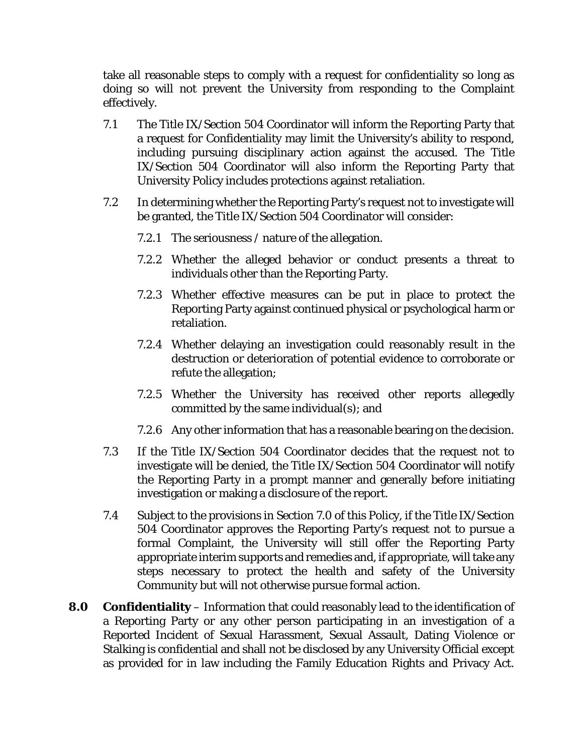take all reasonable steps to comply with a request for confidentiality so long as doing so will not prevent the University from responding to the Complaint effectively.

- 7.1 The Title IX/Section 504 Coordinator will inform the Reporting Party that a request for Confidentiality may limit the University's ability to respond, including pursuing disciplinary action against the accused. The Title IX/Section 504 Coordinator will also inform the Reporting Party that University Policy includes protections against retaliation.
- 7.2 In determining whether the Reporting Party's request not to investigate will be granted, the Title IX/Section 504 Coordinator will consider:
	- 7.2.1 The seriousness / nature of the allegation.
	- 7.2.2 Whether the alleged behavior or conduct presents a threat to individuals other than the Reporting Party.
	- 7.2.3 Whether effective measures can be put in place to protect the Reporting Party against continued physical or psychological harm or retaliation.
	- 7.2.4 Whether delaying an investigation could reasonably result in the destruction or deterioration of potential evidence to corroborate or refute the allegation;
	- 7.2.5 Whether the University has received other reports allegedly committed by the same individual(s); and
	- 7.2.6 Any other information that has a reasonable bearing on the decision.
- 7.3 If the Title IX/Section 504 Coordinator decides that the request not to investigate will be denied, the Title IX/Section 504 Coordinator will notify the Reporting Party in a prompt manner and generally before initiating investigation or making a disclosure of the report.
- 7.4 Subject to the provisions in Section 7.0 of this Policy, if the Title IX/Section 504 Coordinator approves the Reporting Party's request not to pursue a formal Complaint, the University will still offer the Reporting Party appropriate interim supports and remedies and, if appropriate, will take any steps necessary to protect the health and safety of the University Community but will not otherwise pursue formal action.
- **8.0 Confidentiality** Information that could reasonably lead to the identification of a Reporting Party or any other person participating in an investigation of a Reported Incident of Sexual Harassment, Sexual Assault, Dating Violence or Stalking is confidential and shall not be disclosed by any University Official except as provided for in law including the Family Education Rights and Privacy Act.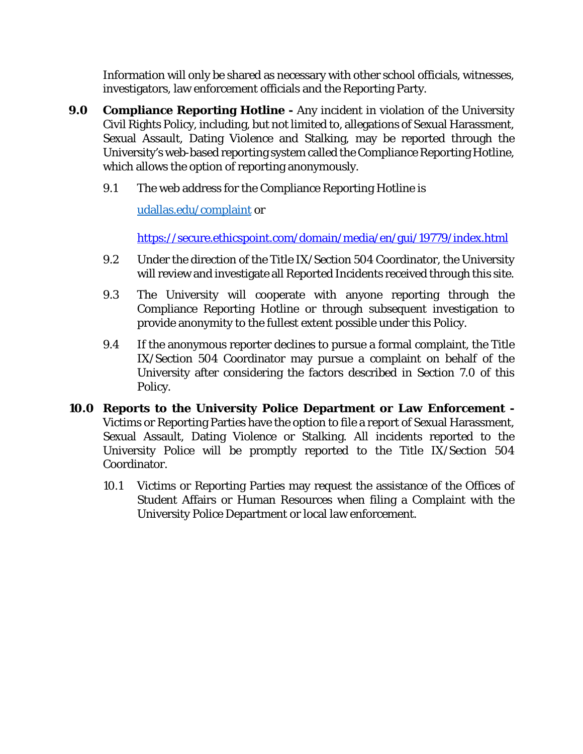Information will only be shared as necessary with other school officials, witnesses, investigators, law enforcement officials and the Reporting Party.

- **9.0 Compliance Reporting Hotline -** Any incident in violation of the University Civil Rights Policy, including, but not limited to, allegations of Sexual Harassment, Sexual Assault, Dating Violence and Stalking, may be reported through the University's web-based reporting system called the Compliance Reporting Hotline, which allows the option of reporting anonymously.
	- 9.1 The web address for the Compliance Reporting Hotline is

[udallas.edu/complaint](http://udallas.edu/complaint) or

<https://secure.ethicspoint.com/domain/media/en/gui/19779/index.html>

- 9.2 Under the direction of the Title IX/Section 504 Coordinator, the University will review and investigate all Reported Incidents received through this site.
- 9.3 The University will cooperate with anyone reporting through the Compliance Reporting Hotline or through subsequent investigation to provide anonymity to the fullest extent possible under this Policy.
- 9.4 If the anonymous reporter declines to pursue a formal complaint, the Title IX/Section 504 Coordinator may pursue a complaint on behalf of the University after considering the factors described in Section 7.0 of this Policy.
- **10.0 Reports to the University Police Department or Law Enforcement -** Victims or Reporting Parties have the option to file a report of Sexual Harassment, Sexual Assault, Dating Violence or Stalking. All incidents reported to the University Police will be promptly reported to the Title IX/Section 504 Coordinator.
	- 10.1 Victims or Reporting Parties may request the assistance of the Offices of Student Affairs or Human Resources when filing a Complaint with the University Police Department or local law enforcement.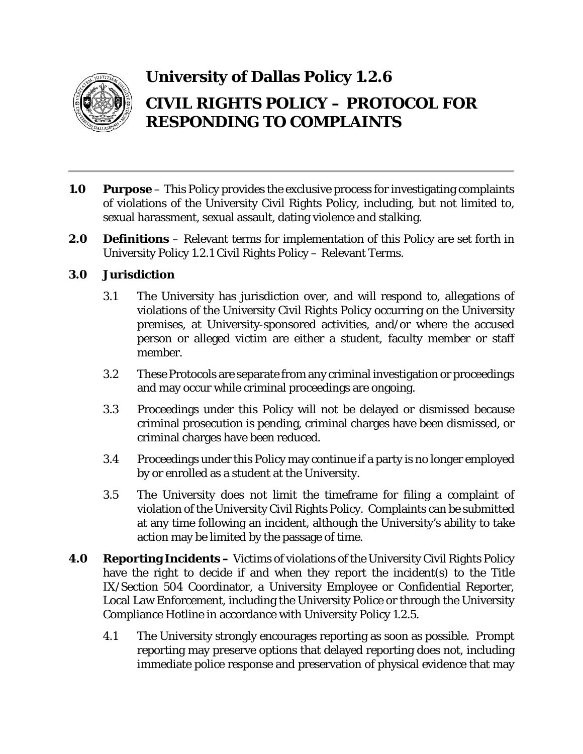

## **University of Dallas Policy 1.2.6 CIVIL RIGHTS POLICY – PROTOCOL FOR RESPONDING TO COMPLAINTS**

- **1.0 Purpose** This Policy provides the exclusive process for investigating complaints of violations of the University Civil Rights Policy, including, but not limited to, sexual harassment, sexual assault, dating violence and stalking.
- **2.0 Definitions** Relevant terms for implementation of this Policy are set forth in University Policy 1.2.1 Civil Rights Policy – Relevant Terms.

#### **3.0 Jurisdiction**

- 3.1 The University has jurisdiction over, and will respond to, allegations of violations of the University Civil Rights Policy occurring on the University premises, at University-sponsored activities, and/or where the accused person or alleged victim are either a student, faculty member or staff member.
- 3.2 These Protocols are separate from any criminal investigation or proceedings and may occur while criminal proceedings are ongoing.
- 3.3 Proceedings under this Policy will not be delayed or dismissed because criminal prosecution is pending, criminal charges have been dismissed, or criminal charges have been reduced.
- 3.4 Proceedings under this Policy may continue if a party is no longer employed by or enrolled as a student at the University.
- 3.5 The University does not limit the timeframe for filing a complaint of violation of the University Civil Rights Policy. Complaints can be submitted at any time following an incident, although the University's ability to take action may be limited by the passage of time.
- **4.0 Reporting Incidents –** Victims of violations of the University Civil Rights Policy have the right to decide if and when they report the incident(s) to the Title IX/Section 504 Coordinator, a University Employee or Confidential Reporter, Local Law Enforcement, including the University Police or through the University Compliance Hotline in accordance with University Policy 1.2.5.
	- 4.1 The University strongly encourages reporting as soon as possible. Prompt reporting may preserve options that delayed reporting does not, including immediate police response and preservation of physical evidence that may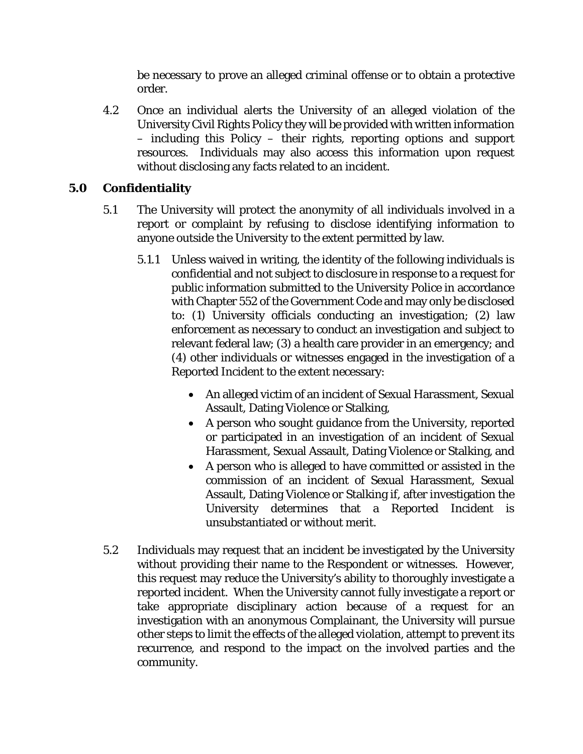be necessary to prove an alleged criminal offense or to obtain a protective order.

4.2 Once an individual alerts the University of an alleged violation of the University Civil Rights Policy they will be provided with written information – including this Policy – their rights, reporting options and support resources. Individuals may also access this information upon request without disclosing any facts related to an incident.

#### **5.0 Confidentiality**

- 5.1 The University will protect the anonymity of all individuals involved in a report or complaint by refusing to disclose identifying information to anyone outside the University to the extent permitted by law.
	- 5.1.1 Unless waived in writing, the identity of the following individuals is confidential and not subject to disclosure in response to a request for public information submitted to the University Police in accordance with Chapter 552 of the Government Code and may only be disclosed to: (1) University officials conducting an investigation; (2) law enforcement as necessary to conduct an investigation and subject to relevant federal law; (3) a health care provider in an emergency; and (4) other individuals or witnesses engaged in the investigation of a Reported Incident to the extent necessary:
		- An alleged victim of an incident of Sexual Harassment, Sexual Assault, Dating Violence or Stalking,
		- A person who sought guidance from the University, reported or participated in an investigation of an incident of Sexual Harassment, Sexual Assault, Dating Violence or Stalking, and
		- A person who is alleged to have committed or assisted in the commission of an incident of Sexual Harassment, Sexual Assault, Dating Violence or Stalking if, after investigation the University determines that a Reported Incident is unsubstantiated or without merit.
- 5.2 Individuals may request that an incident be investigated by the University without providing their name to the Respondent or witnesses. However, this request may reduce the University's ability to thoroughly investigate a reported incident. When the University cannot fully investigate a report or take appropriate disciplinary action because of a request for an investigation with an anonymous Complainant, the University will pursue other steps to limit the effects of the alleged violation, attempt to prevent its recurrence, and respond to the impact on the involved parties and the community.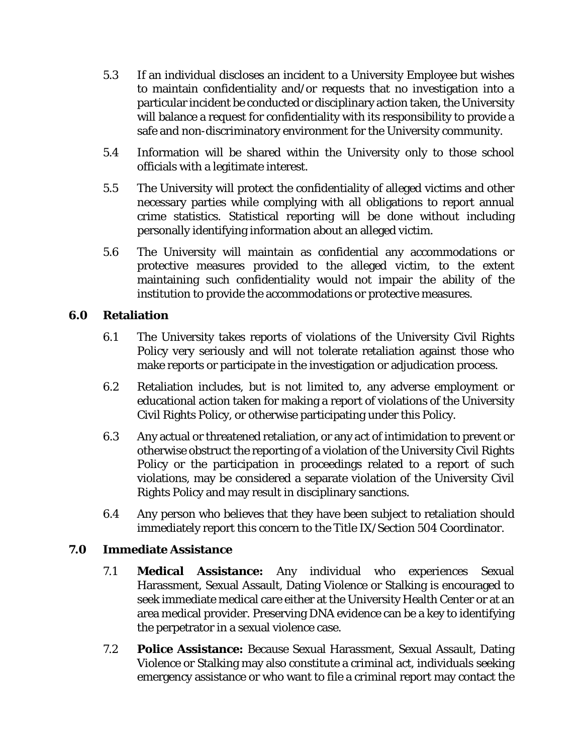- 5.3 If an individual discloses an incident to a University Employee but wishes to maintain confidentiality and/or requests that no investigation into a particular incident be conducted or disciplinary action taken, the University will balance a request for confidentiality with its responsibility to provide a safe and non-discriminatory environment for the University community.
- 5.4 Information will be shared within the University only to those school officials with a legitimate interest.
- 5.5 The University will protect the confidentiality of alleged victims and other necessary parties while complying with all obligations to report annual crime statistics. Statistical reporting will be done without including personally identifying information about an alleged victim.
- 5.6 The University will maintain as confidential any accommodations or protective measures provided to the alleged victim, to the extent maintaining such confidentiality would not impair the ability of the institution to provide the accommodations or protective measures.

#### **6.0 Retaliation**

- 6.1 The University takes reports of violations of the University Civil Rights Policy very seriously and will not tolerate retaliation against those who make reports or participate in the investigation or adjudication process.
- 6.2 Retaliation includes, but is not limited to, any adverse employment or educational action taken for making a report of violations of the University Civil Rights Policy, or otherwise participating under this Policy.
- 6.3 Any actual or threatened retaliation, or any act of intimidation to prevent or otherwise obstruct the reporting of a violation of the University Civil Rights Policy or the participation in proceedings related to a report of such violations, may be considered a separate violation of the University Civil Rights Policy and may result in disciplinary sanctions.
- 6.4 Any person who believes that they have been subject to retaliation should immediately report this concern to the Title IX/Section 504 Coordinator.

#### **7.0 Immediate Assistance**

- 7.1 **Medical Assistance:** Any individual who experiences Sexual Harassment, Sexual Assault, Dating Violence or Stalking is encouraged to seek immediate medical care either at the University Health Center or at an area medical provider. Preserving DNA evidence can be a key to identifying the perpetrator in a sexual violence case.
- 7.2 **Police Assistance:** Because Sexual Harassment, Sexual Assault, Dating Violence or Stalking may also constitute a criminal act, individuals seeking emergency assistance or who want to file a criminal report may contact the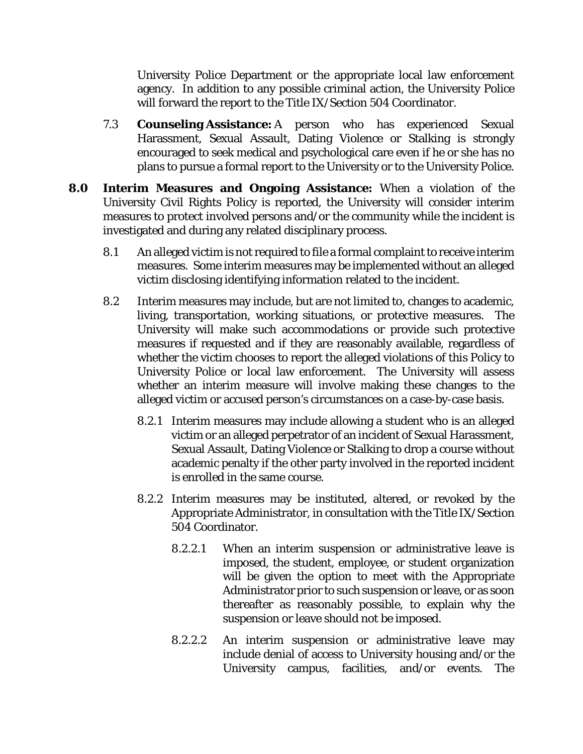University Police Department or the appropriate local law enforcement agency. In addition to any possible criminal action, the University Police will forward the report to the Title IX/Section 504 Coordinator.

- 7.3 **Counseling Assistance:** A person who has experienced Sexual Harassment, Sexual Assault, Dating Violence or Stalking is strongly encouraged to seek medical and psychological care even if he or she has no plans to pursue a formal report to the University or to the University Police.
- **8.0 Interim Measures and Ongoing Assistance:** When a violation of the University Civil Rights Policy is reported, the University will consider interim measures to protect involved persons and/or the community while the incident is investigated and during any related disciplinary process.
	- 8.1 An alleged victim is not required to file a formal complaint to receive interim measures. Some interim measures may be implemented without an alleged victim disclosing identifying information related to the incident.
	- 8.2 Interim measures may include, but are not limited to, changes to academic, living, transportation, working situations, or protective measures. The University will make such accommodations or provide such protective measures if requested and if they are reasonably available, regardless of whether the victim chooses to report the alleged violations of this Policy to University Police or local law enforcement. The University will assess whether an interim measure will involve making these changes to the alleged victim or accused person's circumstances on a case-by-case basis.
		- 8.2.1 Interim measures may include allowing a student who is an alleged victim or an alleged perpetrator of an incident of Sexual Harassment, Sexual Assault, Dating Violence or Stalking to drop a course without academic penalty if the other party involved in the reported incident is enrolled in the same course.
		- 8.2.2 Interim measures may be instituted, altered, or revoked by the Appropriate Administrator, in consultation with the Title IX/Section 504 Coordinator.
			- 8.2.2.1 When an interim suspension or administrative leave is imposed, the student, employee, or student organization will be given the option to meet with the Appropriate Administrator prior to such suspension or leave, or as soon thereafter as reasonably possible, to explain why the suspension or leave should not be imposed.
			- 8.2.2.2 An interim suspension or administrative leave may include denial of access to University housing and/or the University campus, facilities, and/or events. The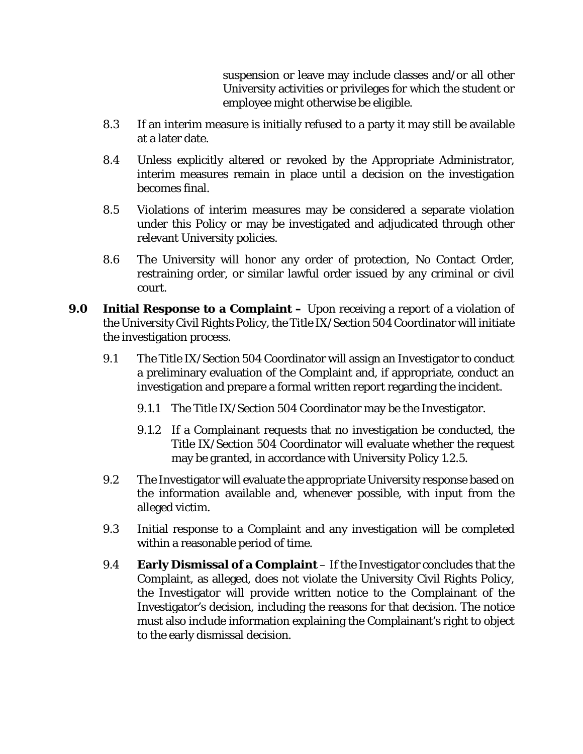suspension or leave may include classes and/or all other University activities or privileges for which the student or employee might otherwise be eligible.

- 8.3 If an interim measure is initially refused to a party it may still be available at a later date.
- 8.4 Unless explicitly altered or revoked by the Appropriate Administrator, interim measures remain in place until a decision on the investigation becomes final.
- 8.5 Violations of interim measures may be considered a separate violation under this Policy or may be investigated and adjudicated through other relevant University policies.
- 8.6 The University will honor any order of protection, No Contact Order, restraining order, or similar lawful order issued by any criminal or civil court.
- **9.0 Initial Response to a Complaint –** Upon receiving a report of a violation of the University Civil Rights Policy, the Title IX/Section 504 Coordinator will initiate the investigation process.
	- 9.1 The Title IX/Section 504 Coordinator will assign an Investigator to conduct a preliminary evaluation of the Complaint and, if appropriate, conduct an investigation and prepare a formal written report regarding the incident.
		- 9.1.1 The Title IX/Section 504 Coordinator may be the Investigator.
		- 9.1.2 If a Complainant requests that no investigation be conducted, the Title IX/Section 504 Coordinator will evaluate whether the request may be granted, in accordance with University Policy 1.2.5.
	- 9.2 The Investigator will evaluate the appropriate University response based on the information available and, whenever possible, with input from the alleged victim.
	- 9.3 Initial response to a Complaint and any investigation will be completed within a reasonable period of time.
	- 9.4 **Early Dismissal of a Complaint** If the Investigator concludes that the Complaint, as alleged, does not violate the University Civil Rights Policy, the Investigator will provide written notice to the Complainant of the Investigator's decision, including the reasons for that decision. The notice must also include information explaining the Complainant's right to object to the early dismissal decision.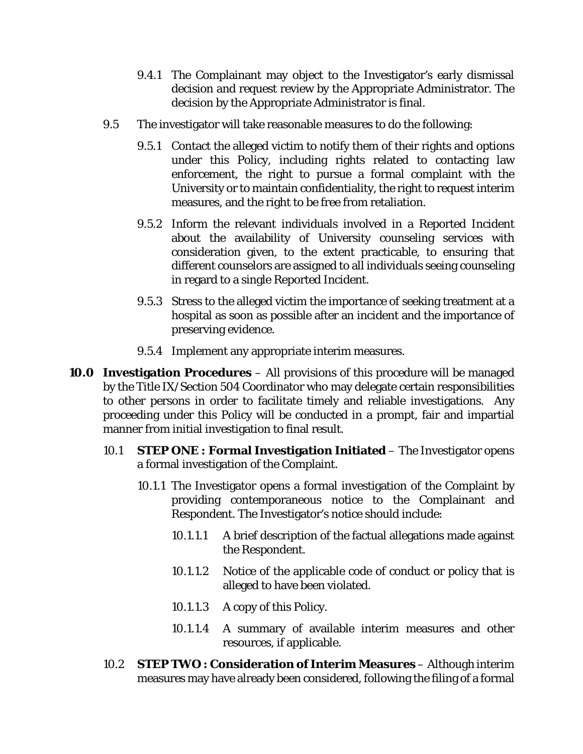- 9.4.1 The Complainant may object to the Investigator's early dismissal decision and request review by the Appropriate Administrator. The decision by the Appropriate Administrator is final.
- 9.5 The investigator will take reasonable measures to do the following:
	- 9.5.1 Contact the alleged victim to notify them of their rights and options under this Policy, including rights related to contacting law enforcement, the right to pursue a formal complaint with the University or to maintain confidentiality, the right to request interim measures, and the right to be free from retaliation.
	- 9.5.2 Inform the relevant individuals involved in a Reported Incident about the availability of University counseling services with consideration given, to the extent practicable, to ensuring that different counselors are assigned to all individuals seeing counseling in regard to a single Reported Incident.
	- 9.5.3 Stress to the alleged victim the importance of seeking treatment at a hospital as soon as possible after an incident and the importance of preserving evidence.
	- 9.5.4 Implement any appropriate interim measures.
- **10.0 Investigation Procedures** All provisions of this procedure will be managed by the Title IX/Section 504 Coordinator who may delegate certain responsibilities to other persons in order to facilitate timely and reliable investigations. Any proceeding under this Policy will be conducted in a prompt, fair and impartial manner from initial investigation to final result.
	- 10.1 **STEP ONE : Formal Investigation Initiated** The Investigator opens a formal investigation of the Complaint.
		- 10.1.1 The Investigator opens a formal investigation of the Complaint by providing contemporaneous notice to the Complainant and Respondent. The Investigator's notice should include:
			- 10.1.1.1 A brief description of the factual allegations made against the Respondent.
			- 10.1.1.2 Notice of the applicable code of conduct or policy that is alleged to have been violated.
			- 10.1.1.3 A copy of this Policy.
			- 10.1.1.4 A summary of available interim measures and other resources, if applicable.
	- 10.2 **STEP TWO : Consideration of Interim Measures** Although interim measures may have already been considered, following the filing of a formal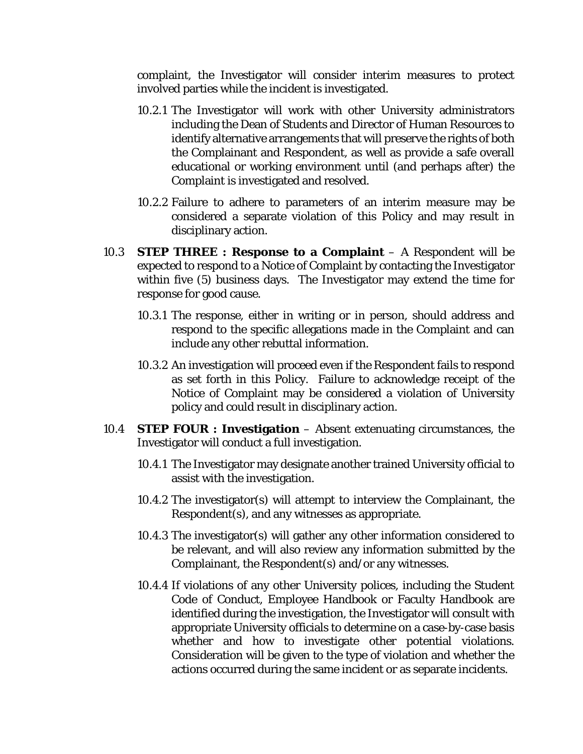complaint, the Investigator will consider interim measures to protect involved parties while the incident is investigated.

- 10.2.1 The Investigator will work with other University administrators including the Dean of Students and Director of Human Resources to identify alternative arrangements that will preserve the rights of both the Complainant and Respondent, as well as provide a safe overall educational or working environment until (and perhaps after) the Complaint is investigated and resolved.
- 10.2.2 Failure to adhere to parameters of an interim measure may be considered a separate violation of this Policy and may result in disciplinary action.
- 10.3 **STEP THREE : Response to a Complaint** A Respondent will be expected to respond to a Notice of Complaint by contacting the Investigator within five (5) business days. The Investigator may extend the time for response for good cause.
	- 10.3.1 The response, either in writing or in person, should address and respond to the specific allegations made in the Complaint and can include any other rebuttal information.
	- 10.3.2 An investigation will proceed even if the Respondent fails to respond as set forth in this Policy. Failure to acknowledge receipt of the Notice of Complaint may be considered a violation of University policy and could result in disciplinary action.
- 10.4 **STEP FOUR : Investigation** Absent extenuating circumstances, the Investigator will conduct a full investigation.
	- 10.4.1 The Investigator may designate another trained University official to assist with the investigation.
	- 10.4.2 The investigator(s) will attempt to interview the Complainant, the Respondent(s), and any witnesses as appropriate.
	- 10.4.3 The investigator(s) will gather any other information considered to be relevant, and will also review any information submitted by the Complainant, the Respondent(s) and/or any witnesses.
	- 10.4.4 If violations of any other University polices, including the Student Code of Conduct, Employee Handbook or Faculty Handbook are identified during the investigation, the Investigator will consult with appropriate University officials to determine on a case-by-case basis whether and how to investigate other potential violations. Consideration will be given to the type of violation and whether the actions occurred during the same incident or as separate incidents.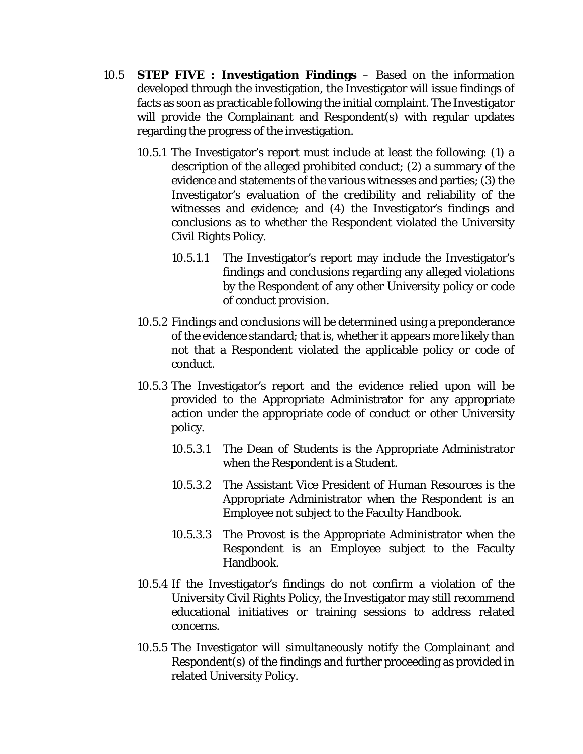- 10.5 **STEP FIVE : Investigation Findings** Based on the information developed through the investigation, the Investigator will issue findings of facts as soon as practicable following the initial complaint. The Investigator will provide the Complainant and Respondent(s) with regular updates regarding the progress of the investigation.
	- 10.5.1 The Investigator's report must include at least the following: (1) a description of the alleged prohibited conduct; (2) a summary of the evidence and statements of the various witnesses and parties; (3) the Investigator's evaluation of the credibility and reliability of the witnesses and evidence; and (4) the Investigator's findings and conclusions as to whether the Respondent violated the University Civil Rights Policy.
		- 10.5.1.1 The Investigator's report may include the Investigator's findings and conclusions regarding any alleged violations by the Respondent of any other University policy or code of conduct provision.
	- 10.5.2 Findings and conclusions will be determined using a preponderance of the evidence standard; that is, whether it appears more likely than not that a Respondent violated the applicable policy or code of conduct.
	- 10.5.3 The Investigator's report and the evidence relied upon will be provided to the Appropriate Administrator for any appropriate action under the appropriate code of conduct or other University policy.
		- 10.5.3.1 The Dean of Students is the Appropriate Administrator when the Respondent is a Student.
		- 10.5.3.2 The Assistant Vice President of Human Resources is the Appropriate Administrator when the Respondent is an Employee not subject to the Faculty Handbook.
		- 10.5.3.3 The Provost is the Appropriate Administrator when the Respondent is an Employee subject to the Faculty Handbook.
	- 10.5.4 If the Investigator's findings do not confirm a violation of the University Civil Rights Policy, the Investigator may still recommend educational initiatives or training sessions to address related concerns.
	- 10.5.5 The Investigator will simultaneously notify the Complainant and Respondent(s) of the findings and further proceeding as provided in related University Policy.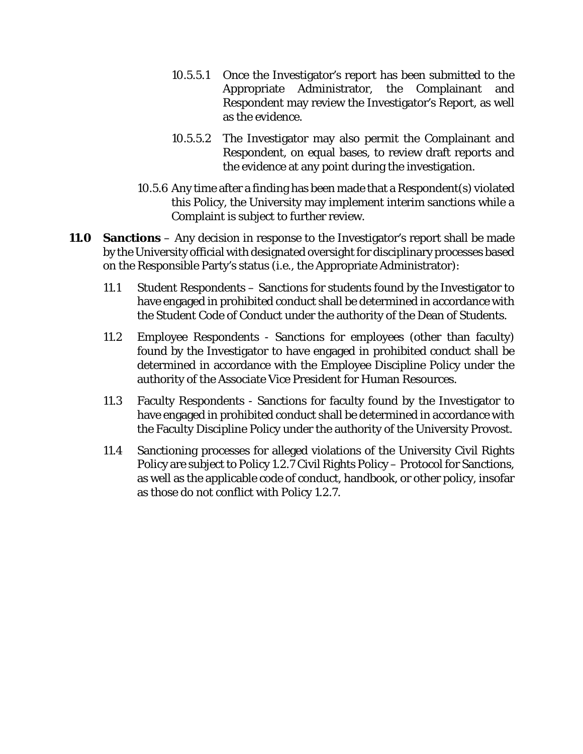- 10.5.5.1 Once the Investigator's report has been submitted to the Appropriate Administrator, the Complainant and Respondent may review the Investigator's Report, as well as the evidence.
- 10.5.5.2 The Investigator may also permit the Complainant and Respondent, on equal bases, to review draft reports and the evidence at any point during the investigation.
- 10.5.6 Any time after a finding has been made that a Respondent(s) violated this Policy, the University may implement interim sanctions while a Complaint is subject to further review.
- **11.0 Sanctions** Any decision in response to the Investigator's report shall be made by the University official with designated oversight for disciplinary processes based on the Responsible Party's status (i.e., the Appropriate Administrator):
	- 11.1 Student Respondents Sanctions for students found by the Investigator to have engaged in prohibited conduct shall be determined in accordance with the Student Code of Conduct under the authority of the Dean of Students.
	- 11.2 Employee Respondents Sanctions for employees (other than faculty) found by the Investigator to have engaged in prohibited conduct shall be determined in accordance with the Employee Discipline Policy under the authority of the Associate Vice President for Human Resources.
	- 11.3 Faculty Respondents Sanctions for faculty found by the Investigator to have engaged in prohibited conduct shall be determined in accordance with the Faculty Discipline Policy under the authority of the University Provost.
	- 11.4 Sanctioning processes for alleged violations of the University Civil Rights Policy are subject to Policy 1.2.7 Civil Rights Policy – Protocol for Sanctions, as well as the applicable code of conduct, handbook, or other policy, insofar as those do not conflict with Policy 1.2.7.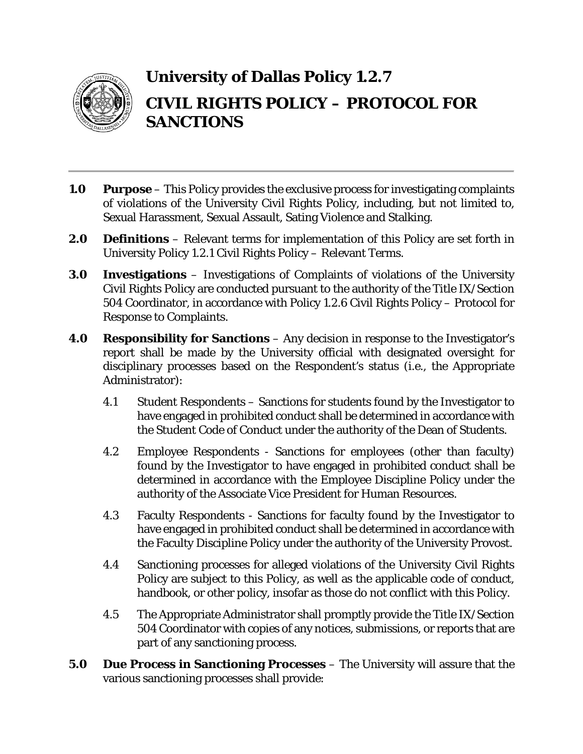

## **University of Dallas Policy 1.2.7 CIVIL RIGHTS POLICY – PROTOCOL FOR SANCTIONS**

- **1.0 Purpose** This Policy provides the exclusive process for investigating complaints of violations of the University Civil Rights Policy, including, but not limited to, Sexual Harassment, Sexual Assault, Sating Violence and Stalking.
- **2.0 Definitions** Relevant terms for implementation of this Policy are set forth in University Policy 1.2.1 Civil Rights Policy – Relevant Terms.
- **3.0 Investigations** Investigations of Complaints of violations of the University Civil Rights Policy are conducted pursuant to the authority of the Title IX/Section 504 Coordinator, in accordance with Policy 1.2.6 Civil Rights Policy – Protocol for Response to Complaints.
- **4.0 Responsibility for Sanctions** Any decision in response to the Investigator's report shall be made by the University official with designated oversight for disciplinary processes based on the Respondent's status (i.e., the Appropriate Administrator):
	- 4.1 Student Respondents Sanctions for students found by the Investigator to have engaged in prohibited conduct shall be determined in accordance with the Student Code of Conduct under the authority of the Dean of Students.
	- 4.2 Employee Respondents Sanctions for employees (other than faculty) found by the Investigator to have engaged in prohibited conduct shall be determined in accordance with the Employee Discipline Policy under the authority of the Associate Vice President for Human Resources.
	- 4.3 Faculty Respondents Sanctions for faculty found by the Investigator to have engaged in prohibited conduct shall be determined in accordance with the Faculty Discipline Policy under the authority of the University Provost.
	- 4.4 Sanctioning processes for alleged violations of the University Civil Rights Policy are subject to this Policy, as well as the applicable code of conduct, handbook, or other policy, insofar as those do not conflict with this Policy.
	- 4.5 The Appropriate Administrator shall promptly provide the Title IX/Section 504 Coordinator with copies of any notices, submissions, or reports that are part of any sanctioning process.
- **5.0 Due Process in Sanctioning Processes** The University will assure that the various sanctioning processes shall provide: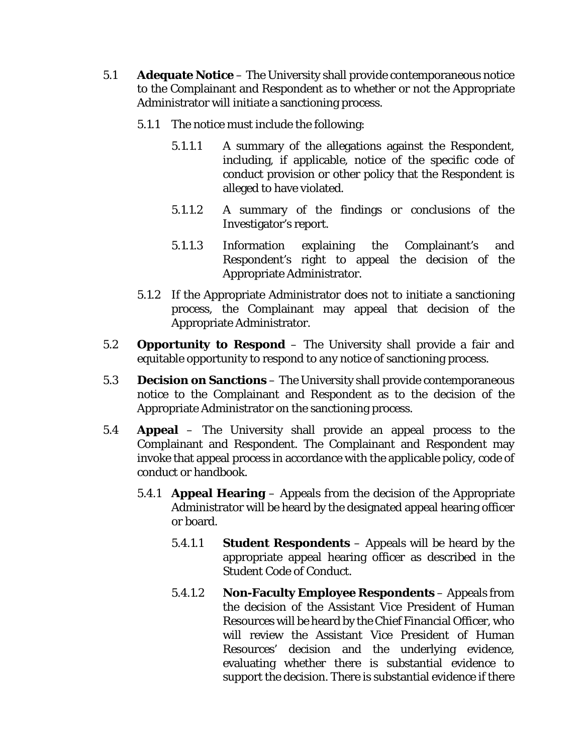- 5.1 **Adequate Notice** The University shall provide contemporaneous notice to the Complainant and Respondent as to whether or not the Appropriate Administrator will initiate a sanctioning process.
	- 5.1.1 The notice must include the following:
		- 5.1.1.1 A summary of the allegations against the Respondent, including, if applicable, notice of the specific code of conduct provision or other policy that the Respondent is alleged to have violated.
		- 5.1.1.2 A summary of the findings or conclusions of the Investigator's report.
		- 5.1.1.3 Information explaining the Complainant's and Respondent's right to appeal the decision of the Appropriate Administrator.
	- 5.1.2 If the Appropriate Administrator does not to initiate a sanctioning process, the Complainant may appeal that decision of the Appropriate Administrator.
- 5.2 **Opportunity to Respond** The University shall provide a fair and equitable opportunity to respond to any notice of sanctioning process.
- 5.3 **Decision on Sanctions** The University shall provide contemporaneous notice to the Complainant and Respondent as to the decision of the Appropriate Administrator on the sanctioning process.
- 5.4 **Appeal** The University shall provide an appeal process to the Complainant and Respondent. The Complainant and Respondent may invoke that appeal process in accordance with the applicable policy, code of conduct or handbook.
	- 5.4.1 **Appeal Hearing** Appeals from the decision of the Appropriate Administrator will be heard by the designated appeal hearing officer or board.
		- 5.4.1.1 **Student Respondents** Appeals will be heard by the appropriate appeal hearing officer as described in the Student Code of Conduct.
		- 5.4.1.2 **Non-Faculty Employee Respondents** Appeals from the decision of the Assistant Vice President of Human Resources will be heard by the Chief Financial Officer, who will review the Assistant Vice President of Human Resources' decision and the underlying evidence, evaluating whether there is substantial evidence to support the decision. There is substantial evidence if there